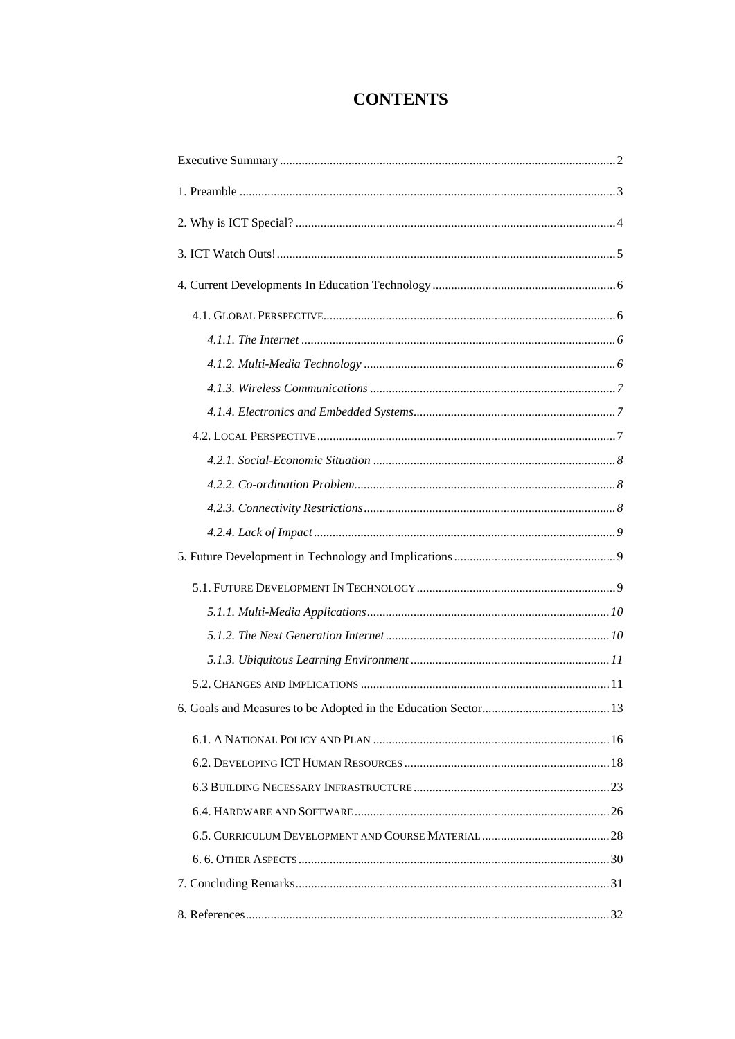# **CONTENTS**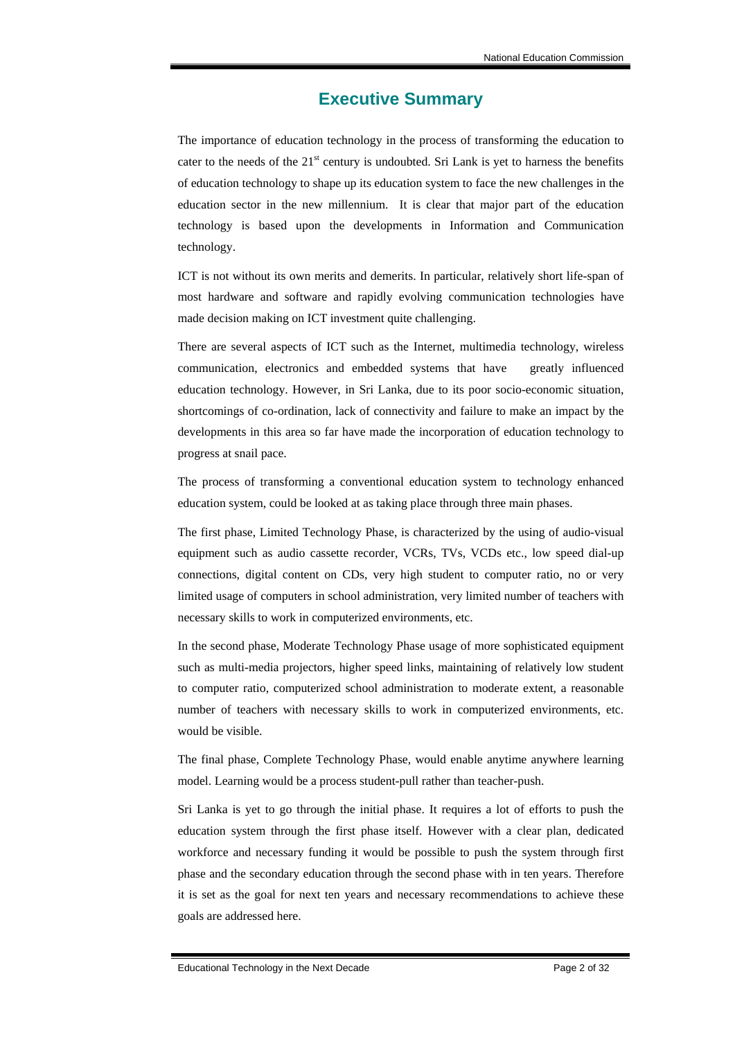### **Executive Summary**

The importance of education technology in the process of transforming the education to cater to the needs of the  $21<sup>st</sup>$  century is undoubted. Sri Lank is yet to harness the benefits of education technology to shape up its education system to face the new challenges in the education sector in the new millennium. It is clear that major part of the education technology is based upon the developments in Information and Communication technology.

ICT is not without its own merits and demerits. In particular, relatively short life-span of most hardware and software and rapidly evolving communication technologies have made decision making on ICT investment quite challenging.

There are several aspects of ICT such as the Internet, multimedia technology, wireless communication, electronics and embedded systems that have greatly influenced education technology. However, in Sri Lanka, due to its poor socio-economic situation, shortcomings of co-ordination, lack of connectivity and failure to make an impact by the developments in this area so far have made the incorporation of education technology to progress at snail pace.

The process of transforming a conventional education system to technology enhanced education system, could be looked at as taking place through three main phases.

The first phase, Limited Technology Phase, is characterized by the using of audio-visual equipment such as audio cassette recorder, VCRs, TVs, VCDs etc., low speed dial-up connections, digital content on CDs, very high student to computer ratio, no or very limited usage of computers in school administration, very limited number of teachers with necessary skills to work in computerized environments, etc.

In the second phase, Moderate Technology Phase usage of more sophisticated equipment such as multi-media projectors, higher speed links, maintaining of relatively low student to computer ratio, computerized school administration to moderate extent, a reasonable number of teachers with necessary skills to work in computerized environments, etc. would be visible.

The final phase, Complete Technology Phase, would enable anytime anywhere learning model. Learning would be a process student-pull rather than teacher-push.

Sri Lanka is yet to go through the initial phase. It requires a lot of efforts to push the education system through the first phase itself. However with a clear plan, dedicated workforce and necessary funding it would be possible to push the system through first phase and the secondary education through the second phase with in ten years. Therefore it is set as the goal for next ten years and necessary recommendations to achieve these goals are addressed here.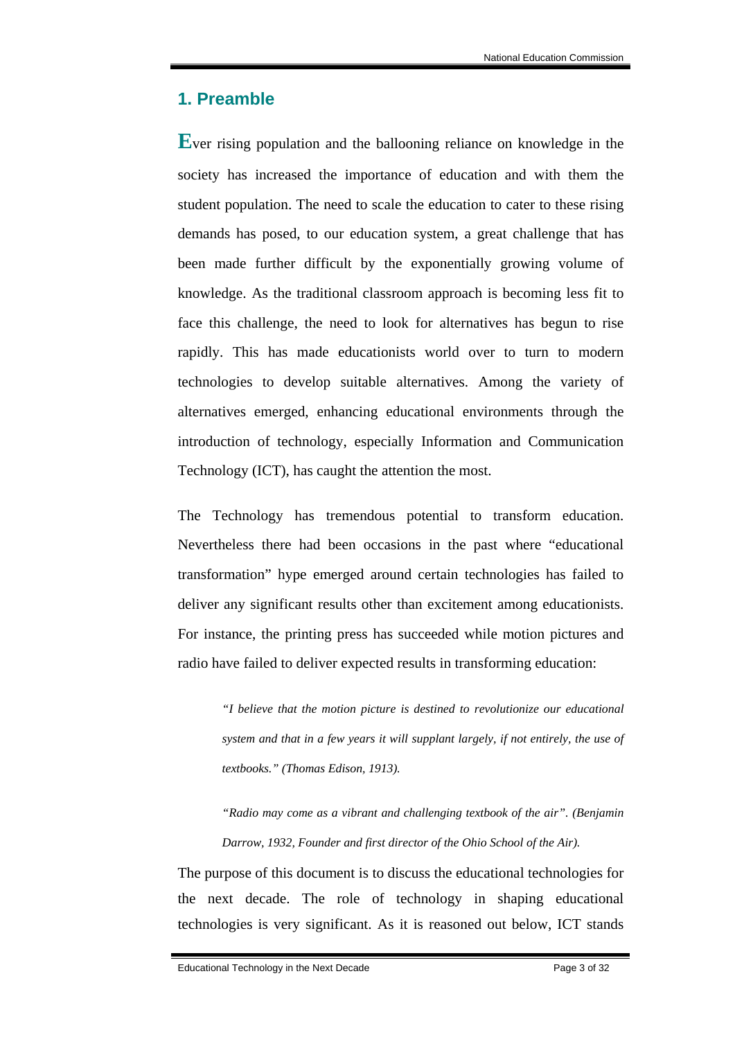### **1. Preamble**

**E**ver rising population and the ballooning reliance on knowledge in the society has increased the importance of education and with them the student population. The need to scale the education to cater to these rising demands has posed, to our education system, a great challenge that has been made further difficult by the exponentially growing volume of knowledge. As the traditional classroom approach is becoming less fit to face this challenge, the need to look for alternatives has begun to rise rapidly. This has made educationists world over to turn to modern technologies to develop suitable alternatives. Among the variety of alternatives emerged, enhancing educational environments through the introduction of technology, especially Information and Communication Technology (ICT), has caught the attention the most.

The Technology has tremendous potential to transform education. Nevertheless there had been occasions in the past where "educational transformation" hype emerged around certain technologies has failed to deliver any significant results other than excitement among educationists. For instance, the printing press has succeeded while motion pictures and radio have failed to deliver expected results in transforming education:

*"I believe that the motion picture is destined to revolutionize our educational system and that in a few years it will supplant largely, if not entirely, the use of textbooks." (Thomas Edison, 1913).* 

*"Radio may come as a vibrant and challenging textbook of the air". (Benjamin Darrow, 1932, Founder and first director of the Ohio School of the Air).* 

The purpose of this document is to discuss the educational technologies for the next decade. The role of technology in shaping educational technologies is very significant. As it is reasoned out below, ICT stands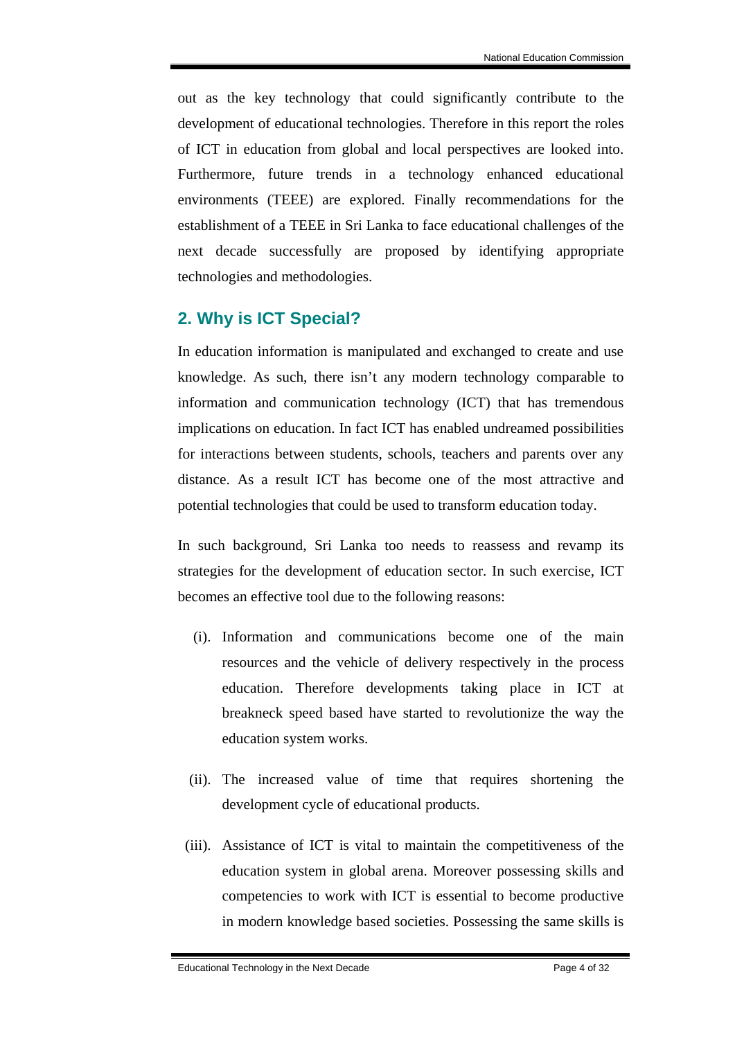out as the key technology that could significantly contribute to the development of educational technologies. Therefore in this report the roles of ICT in education from global and local perspectives are looked into. Furthermore, future trends in a technology enhanced educational environments (TEEE) are explored. Finally recommendations for the establishment of a TEEE in Sri Lanka to face educational challenges of the next decade successfully are proposed by identifying appropriate technologies and methodologies.

### **2. Why is ICT Special?**

In education information is manipulated and exchanged to create and use knowledge. As such, there isn't any modern technology comparable to information and communication technology (ICT) that has tremendous implications on education. In fact ICT has enabled undreamed possibilities for interactions between students, schools, teachers and parents over any distance. As a result ICT has become one of the most attractive and potential technologies that could be used to transform education today.

In such background, Sri Lanka too needs to reassess and revamp its strategies for the development of education sector. In such exercise, ICT becomes an effective tool due to the following reasons:

- (i). Information and communications become one of the main resources and the vehicle of delivery respectively in the process education. Therefore developments taking place in ICT at breakneck speed based have started to revolutionize the way the education system works.
- (ii). The increased value of time that requires shortening the development cycle of educational products.
- (iii). Assistance of ICT is vital to maintain the competitiveness of the education system in global arena. Moreover possessing skills and competencies to work with ICT is essential to become productive in modern knowledge based societies. Possessing the same skills is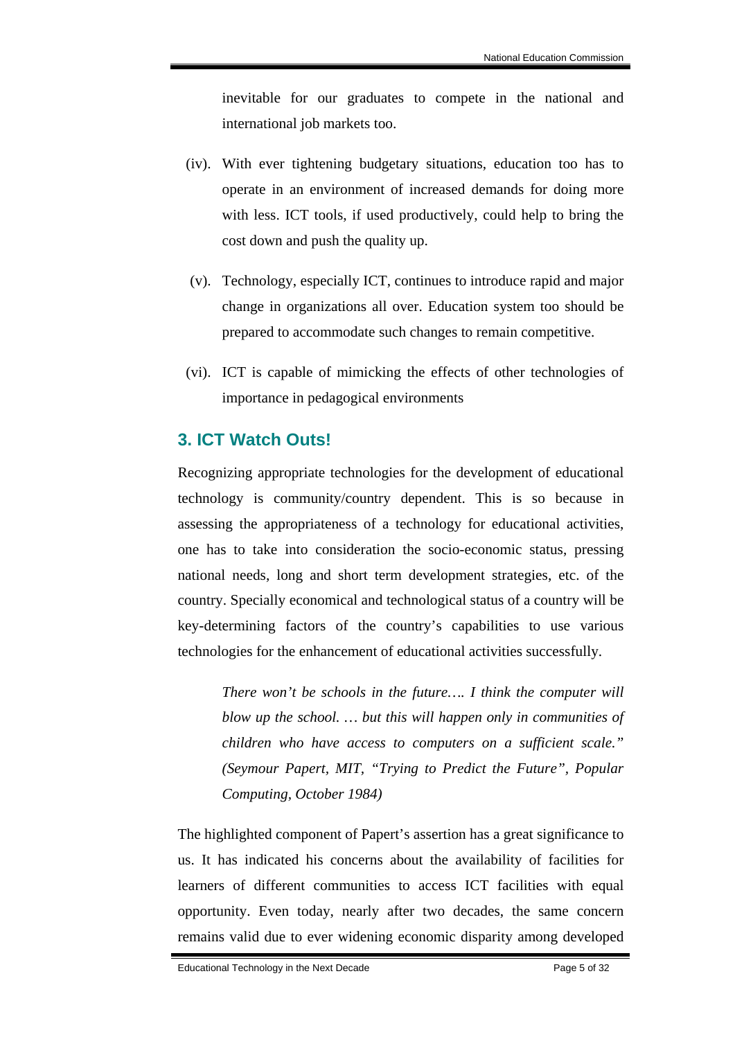inevitable for our graduates to compete in the national and international job markets too.

- (iv). With ever tightening budgetary situations, education too has to operate in an environment of increased demands for doing more with less. ICT tools, if used productively, could help to bring the cost down and push the quality up.
- (v). Technology, especially ICT, continues to introduce rapid and major change in organizations all over. Education system too should be prepared to accommodate such changes to remain competitive.
- (vi). ICT is capable of mimicking the effects of other technologies of importance in pedagogical environments

### **3. ICT Watch Outs!**

Recognizing appropriate technologies for the development of educational technology is community/country dependent. This is so because in assessing the appropriateness of a technology for educational activities, one has to take into consideration the socio-economic status, pressing national needs, long and short term development strategies, etc. of the country. Specially economical and technological status of a country will be key-determining factors of the country's capabilities to use various technologies for the enhancement of educational activities successfully.

*There won't be schools in the future…. I think the computer will blow up the school. … but this will happen only in communities of children who have access to computers on a sufficient scale." (Seymour Papert, MIT, "Trying to Predict the Future", Popular Computing, October 1984)*

The highlighted component of Papert's assertion has a great significance to us. It has indicated his concerns about the availability of facilities for learners of different communities to access ICT facilities with equal opportunity. Even today, nearly after two decades, the same concern remains valid due to ever widening economic disparity among developed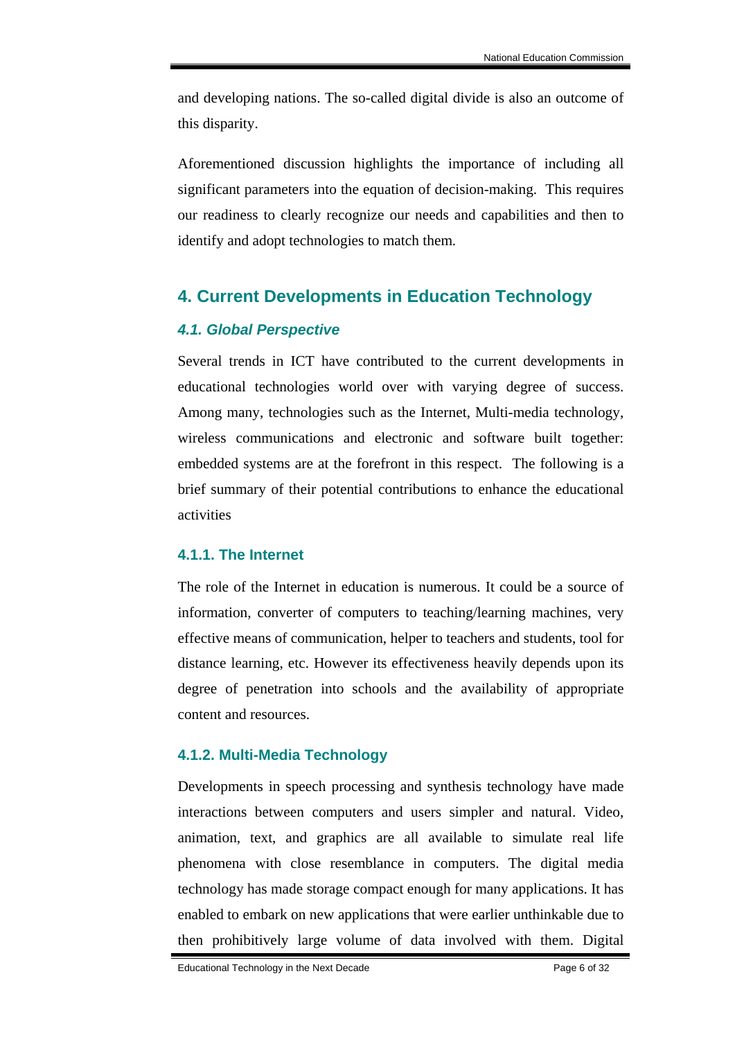and developing nations. The so-called digital divide is also an outcome of this disparity.

Aforementioned discussion highlights the importance of including all significant parameters into the equation of decision-making. This requires our readiness to clearly recognize our needs and capabilities and then to identify and adopt technologies to match them.

## **4. Current Developments in Education Technology**

### *4.1. Global Perspective*

Several trends in ICT have contributed to the current developments in educational technologies world over with varying degree of success. Among many, technologies such as the Internet, Multi-media technology, wireless communications and electronic and software built together: embedded systems are at the forefront in this respect. The following is a brief summary of their potential contributions to enhance the educational activities

### **4.1.1. The Internet**

The role of the Internet in education is numerous. It could be a source of information, converter of computers to teaching/learning machines, very effective means of communication, helper to teachers and students, tool for distance learning, etc. However its effectiveness heavily depends upon its degree of penetration into schools and the availability of appropriate content and resources.

### **4.1.2. Multi-Media Technology**

Developments in speech processing and synthesis technology have made interactions between computers and users simpler and natural. Video, animation, text, and graphics are all available to simulate real life phenomena with close resemblance in computers. The digital media technology has made storage compact enough for many applications. It has enabled to embark on new applications that were earlier unthinkable due to then prohibitively large volume of data involved with them. Digital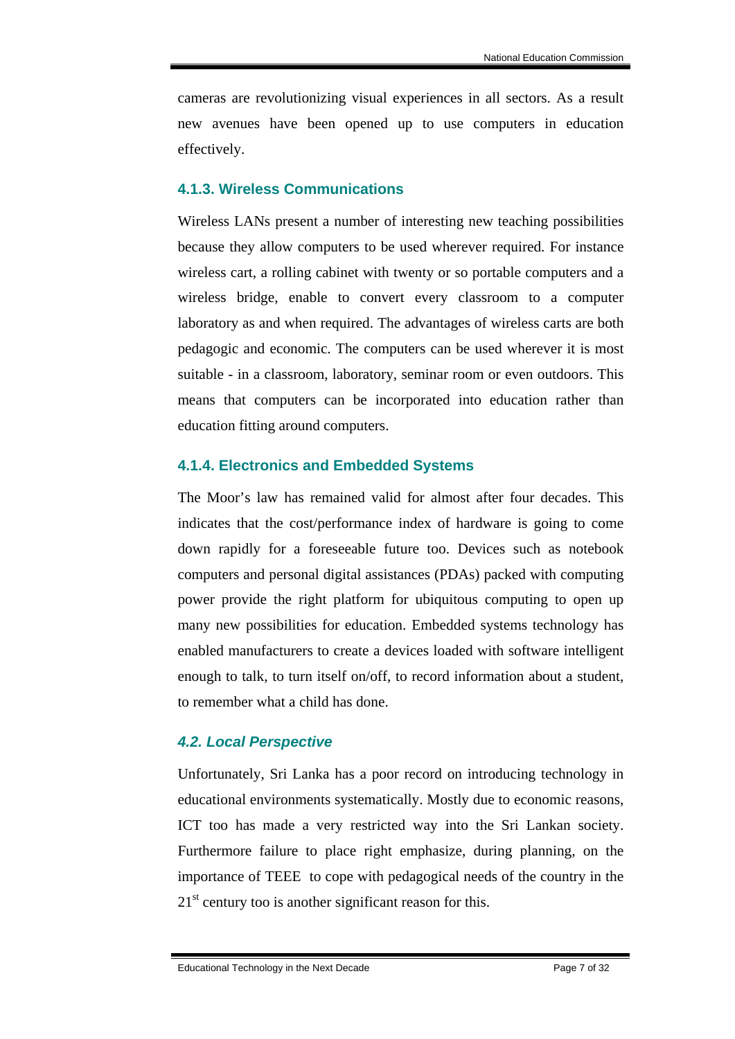cameras are revolutionizing visual experiences in all sectors. As a result new avenues have been opened up to use computers in education effectively.

#### **4.1.3. Wireless Communications**

Wireless LANs present a number of interesting new teaching possibilities because they allow computers to be used wherever required. For instance wireless cart, a rolling cabinet with twenty or so portable computers and a wireless bridge, enable to convert every classroom to a computer laboratory as and when required. The advantages of wireless carts are both pedagogic and economic. The computers can be used wherever it is most suitable - in a classroom, laboratory, seminar room or even outdoors. This means that computers can be incorporated into education rather than education fitting around computers.

### **4.1.4. Electronics and Embedded Systems**

The Moor's law has remained valid for almost after four decades. This indicates that the cost/performance index of hardware is going to come down rapidly for a foreseeable future too. Devices such as notebook computers and personal digital assistances (PDAs) packed with computing power provide the right platform for ubiquitous computing to open up many new possibilities for education. Embedded systems technology has enabled manufacturers to create a devices loaded with software intelligent enough to talk, to turn itself on/off, to record information about a student, to remember what a child has done.

### *4.2. Local Perspective*

Unfortunately, Sri Lanka has a poor record on introducing technology in educational environments systematically. Mostly due to economic reasons, ICT too has made a very restricted way into the Sri Lankan society. Furthermore failure to place right emphasize, during planning, on the importance of TEEE to cope with pedagogical needs of the country in the  $21<sup>st</sup>$  century too is another significant reason for this.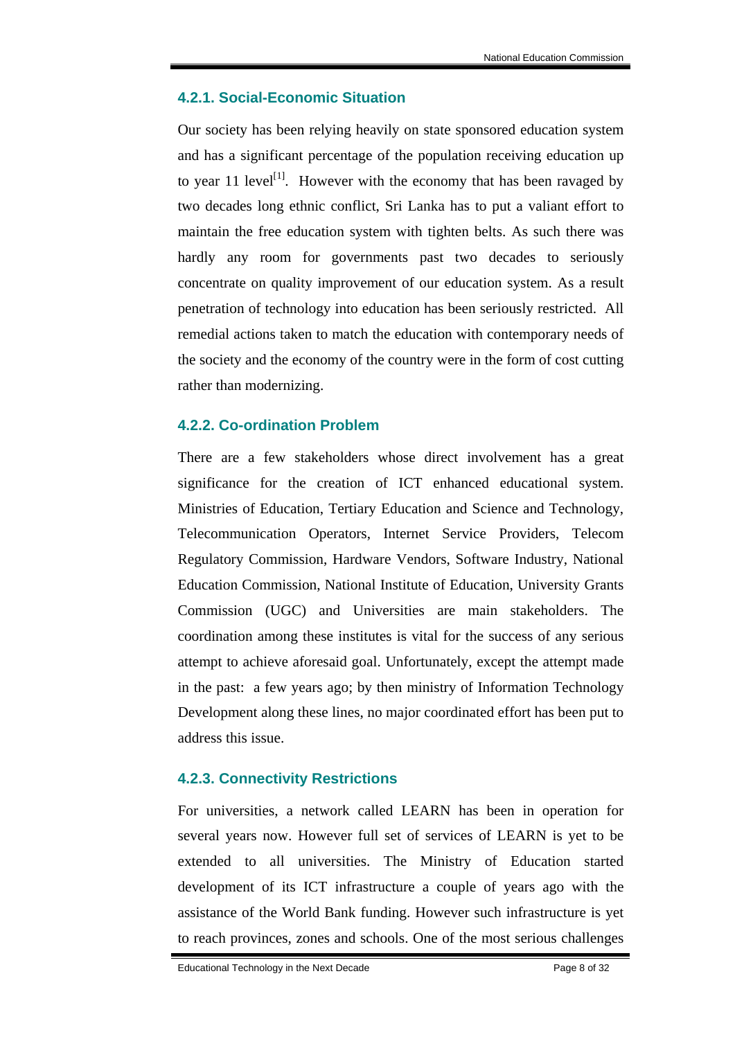### **4.2.1. Social-Economic Situation**

Our society has been relying heavily on state sponsored education system and has a significant percentage of the population receiving education up to year 11 level<sup>[1]</sup>. However with the economy that has been ravaged by two decades long ethnic conflict, Sri Lanka has to put a valiant effort to maintain the free education system with tighten belts. As such there was hardly any room for governments past two decades to seriously concentrate on quality improvement of our education system. As a result penetration of technology into education has been seriously restricted. All remedial actions taken to match the education with contemporary needs of the society and the economy of the country were in the form of cost cutting rather than modernizing.

### **4.2.2. Co-ordination Problem**

There are a few stakeholders whose direct involvement has a great significance for the creation of ICT enhanced educational system. Ministries of Education, Tertiary Education and Science and Technology, Telecommunication Operators, Internet Service Providers, Telecom Regulatory Commission, Hardware Vendors, Software Industry, National Education Commission, National Institute of Education, University Grants Commission (UGC) and Universities are main stakeholders. The coordination among these institutes is vital for the success of any serious attempt to achieve aforesaid goal. Unfortunately, except the attempt made in the past: a few years ago; by then ministry of Information Technology Development along these lines, no major coordinated effort has been put to address this issue.

### **4.2.3. Connectivity Restrictions**

For universities, a network called LEARN has been in operation for several years now. However full set of services of LEARN is yet to be extended to all universities. The Ministry of Education started development of its ICT infrastructure a couple of years ago with the assistance of the World Bank funding. However such infrastructure is yet to reach provinces, zones and schools. One of the most serious challenges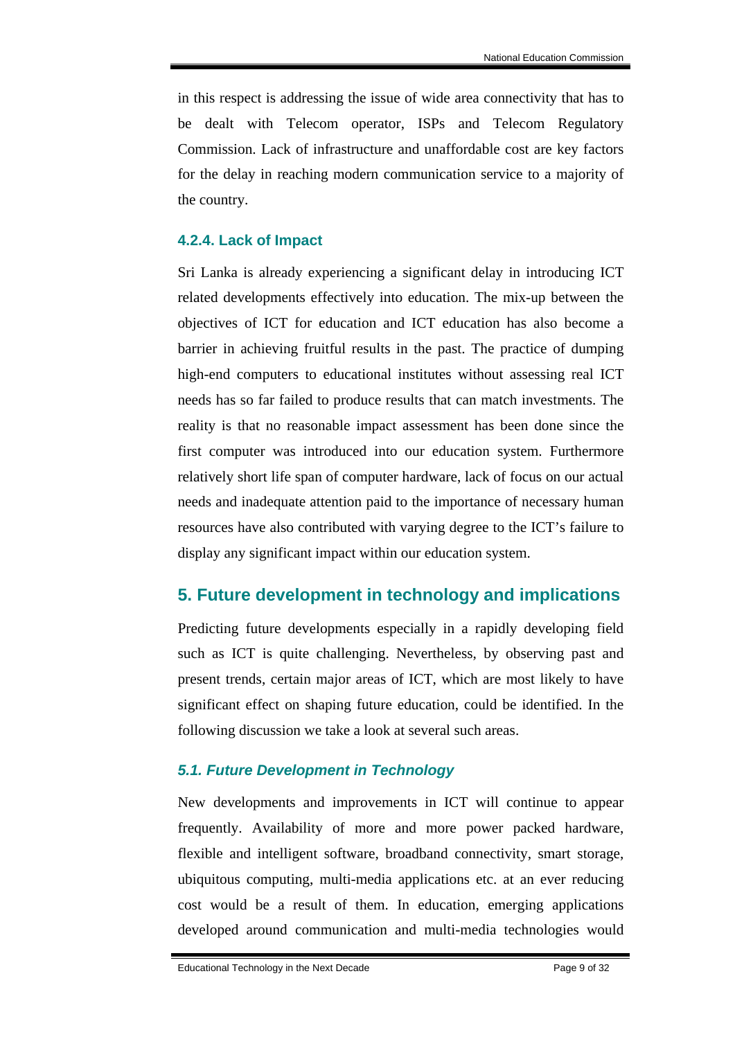in this respect is addressing the issue of wide area connectivity that has to be dealt with Telecom operator, ISPs and Telecom Regulatory Commission. Lack of infrastructure and unaffordable cost are key factors for the delay in reaching modern communication service to a majority of the country.

#### **4.2.4. Lack of Impact**

Sri Lanka is already experiencing a significant delay in introducing ICT related developments effectively into education. The mix-up between the objectives of ICT for education and ICT education has also become a barrier in achieving fruitful results in the past. The practice of dumping high-end computers to educational institutes without assessing real ICT needs has so far failed to produce results that can match investments. The reality is that no reasonable impact assessment has been done since the first computer was introduced into our education system. Furthermore relatively short life span of computer hardware, lack of focus on our actual needs and inadequate attention paid to the importance of necessary human resources have also contributed with varying degree to the ICT's failure to display any significant impact within our education system.

### **5. Future development in technology and implications**

Predicting future developments especially in a rapidly developing field such as ICT is quite challenging. Nevertheless, by observing past and present trends, certain major areas of ICT, which are most likely to have significant effect on shaping future education, could be identified. In the following discussion we take a look at several such areas.

### *5.1. Future Development in Technology*

New developments and improvements in ICT will continue to appear frequently. Availability of more and more power packed hardware, flexible and intelligent software, broadband connectivity, smart storage, ubiquitous computing, multi-media applications etc. at an ever reducing cost would be a result of them. In education, emerging applications developed around communication and multi-media technologies would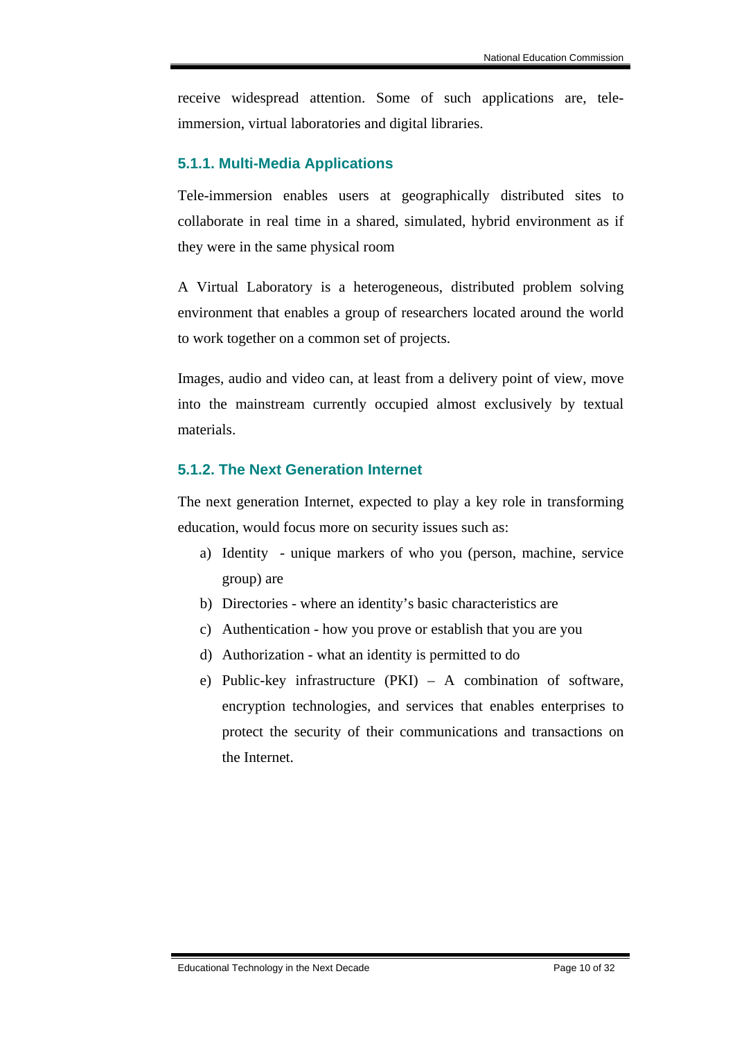receive widespread attention. Some of such applications are, teleimmersion, virtual laboratories and digital libraries.

### **5.1.1. Multi-Media Applications**

Tele-immersion enables users at geographically distributed sites to collaborate in real time in a shared, simulated, hybrid environment as if they were in the same physical room

A Virtual Laboratory is a heterogeneous, distributed problem solving environment that enables a group of researchers located around the world to work together on a common set of projects.

Images, audio and video can, at least from a delivery point of view, move into the mainstream currently occupied almost exclusively by textual materials.

### **5.1.2. The Next Generation Internet**

The next generation Internet, expected to play a key role in transforming education, would focus more on security issues such as:

- a) Identity unique markers of who you (person, machine, service group) are
- b) Directories where an identity's basic characteristics are
- c) Authentication how you prove or establish that you are you
- d) Authorization what an identity is permitted to do
- e) Public-key infrastructure (PKI) A combination of software, encryption technologies, and services that enables enterprises to protect the security of their communications and transactions on the Internet.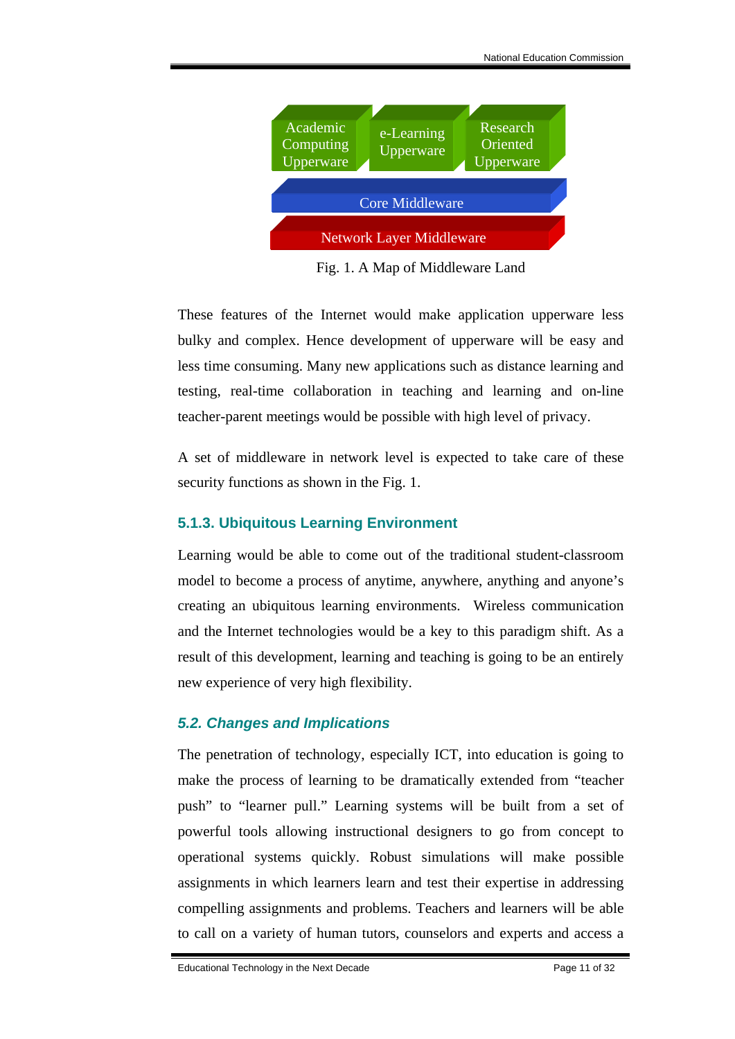

Fig. 1. A Map of Middleware Land

These features of the Internet would make application upperware less bulky and complex. Hence development of upperware will be easy and less time consuming. Many new applications such as distance learning and testing, real-time collaboration in teaching and learning and on-line teacher-parent meetings would be possible with high level of privacy.

A set of middleware in network level is expected to take care of these security functions as shown in the Fig. 1.

### **5.1.3. Ubiquitous Learning Environment**

Learning would be able to come out of the traditional student-classroom model to become a process of anytime, anywhere, anything and anyone's creating an ubiquitous learning environments. Wireless communication and the Internet technologies would be a key to this paradigm shift. As a result of this development, learning and teaching is going to be an entirely new experience of very high flexibility.

### *5.2. Changes and Implications*

The penetration of technology, especially ICT, into education is going to make the process of learning to be dramatically extended from "teacher push" to "learner pull." Learning systems will be built from a set of powerful tools allowing instructional designers to go from concept to operational systems quickly. Robust simulations will make possible assignments in which learners learn and test their expertise in addressing compelling assignments and problems. Teachers and learners will be able to call on a variety of human tutors, counselors and experts and access a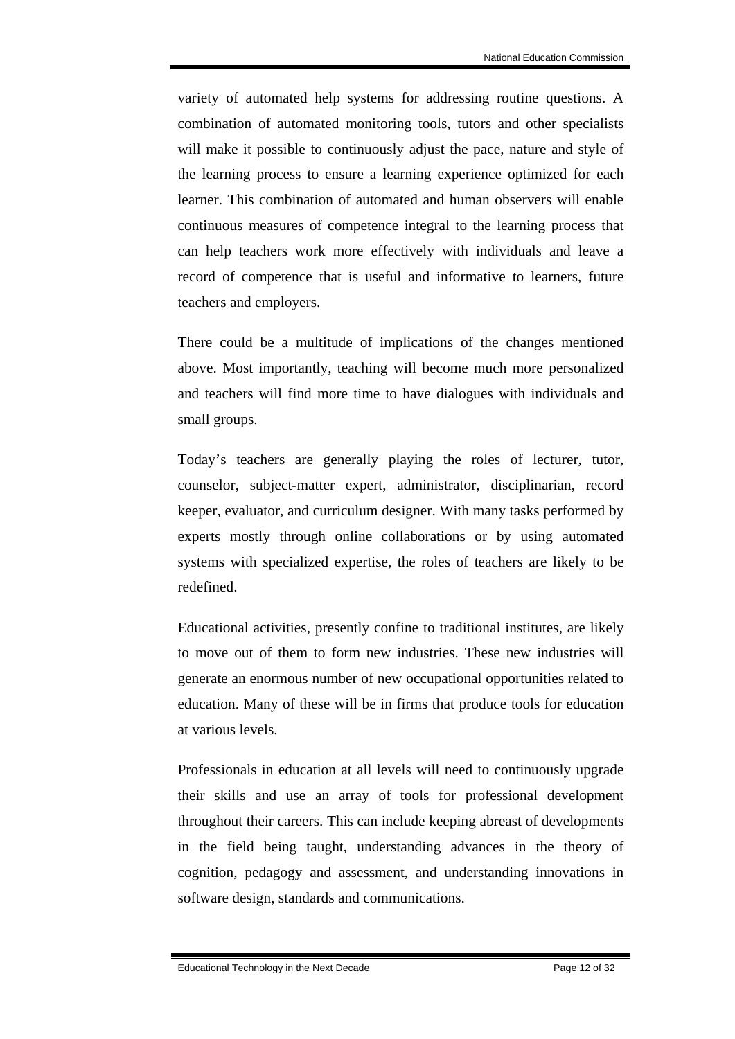variety of automated help systems for addressing routine questions. A combination of automated monitoring tools, tutors and other specialists will make it possible to continuously adjust the pace, nature and style of the learning process to ensure a learning experience optimized for each learner. This combination of automated and human observers will enable continuous measures of competence integral to the learning process that can help teachers work more effectively with individuals and leave a record of competence that is useful and informative to learners, future teachers and employers.

There could be a multitude of implications of the changes mentioned above. Most importantly, teaching will become much more personalized and teachers will find more time to have dialogues with individuals and small groups.

Today's teachers are generally playing the roles of lecturer, tutor, counselor, subject-matter expert, administrator, disciplinarian, record keeper, evaluator, and curriculum designer. With many tasks performed by experts mostly through online collaborations or by using automated systems with specialized expertise, the roles of teachers are likely to be redefined.

Educational activities, presently confine to traditional institutes, are likely to move out of them to form new industries. These new industries will generate an enormous number of new occupational opportunities related to education. Many of these will be in firms that produce tools for education at various levels.

Professionals in education at all levels will need to continuously upgrade their skills and use an array of tools for professional development throughout their careers. This can include keeping abreast of developments in the field being taught, understanding advances in the theory of cognition, pedagogy and assessment, and understanding innovations in software design, standards and communications.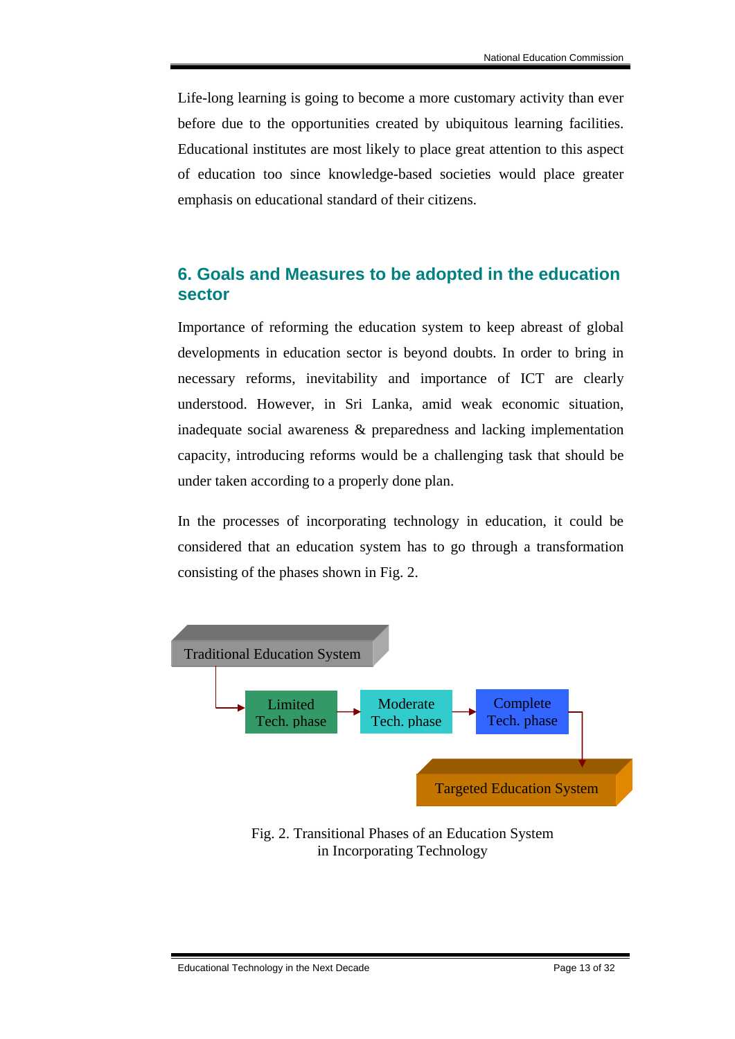Life-long learning is going to become a more customary activity than ever before due to the opportunities created by ubiquitous learning facilities. Educational institutes are most likely to place great attention to this aspect of education too since knowledge-based societies would place greater emphasis on educational standard of their citizens.

### **6. Goals and Measures to be adopted in the education sector**

Importance of reforming the education system to keep abreast of global developments in education sector is beyond doubts. In order to bring in necessary reforms, inevitability and importance of ICT are clearly understood. However, in Sri Lanka, amid weak economic situation, inadequate social awareness & preparedness and lacking implementation capacity, introducing reforms would be a challenging task that should be under taken according to a properly done plan.

In the processes of incorporating technology in education, it could be considered that an education system has to go through a transformation consisting of the phases shown in Fig. 2.



### Fig. 2. Transitional Phases of an Education System in Incorporating Technology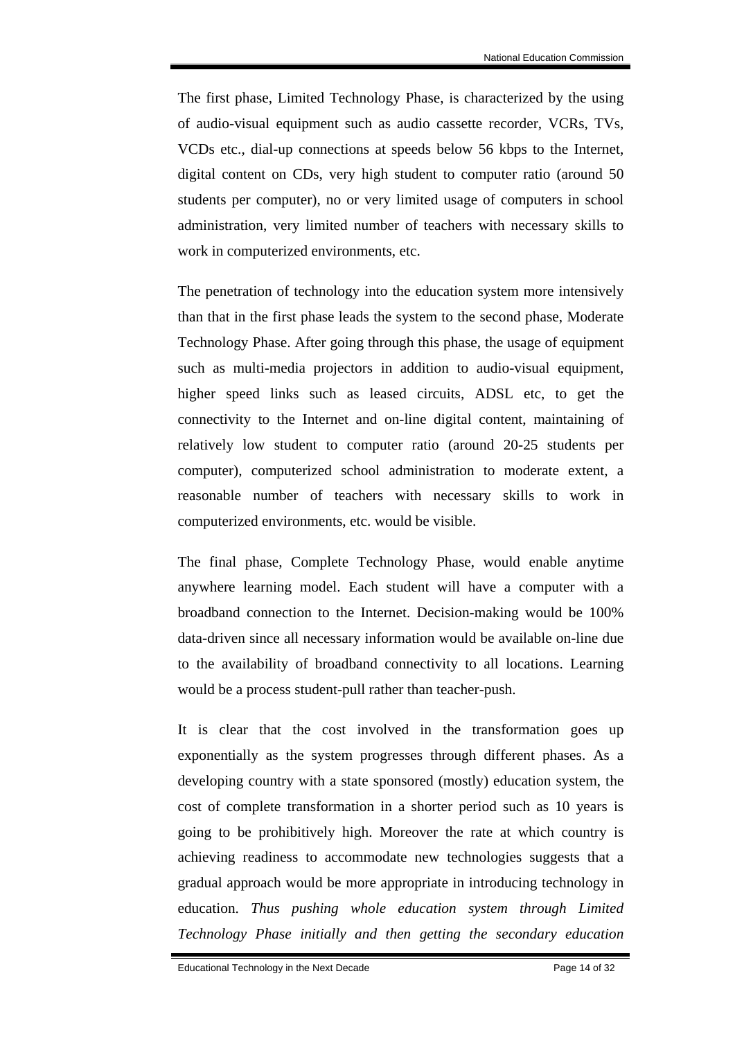The first phase, Limited Technology Phase, is characterized by the using of audio-visual equipment such as audio cassette recorder, VCRs, TVs, VCDs etc., dial-up connections at speeds below 56 kbps to the Internet, digital content on CDs, very high student to computer ratio (around 50 students per computer), no or very limited usage of computers in school administration, very limited number of teachers with necessary skills to work in computerized environments, etc.

The penetration of technology into the education system more intensively than that in the first phase leads the system to the second phase, Moderate Technology Phase. After going through this phase, the usage of equipment such as multi-media projectors in addition to audio-visual equipment, higher speed links such as leased circuits, ADSL etc, to get the connectivity to the Internet and on-line digital content, maintaining of relatively low student to computer ratio (around 20-25 students per computer), computerized school administration to moderate extent, a reasonable number of teachers with necessary skills to work in computerized environments, etc. would be visible.

The final phase, Complete Technology Phase, would enable anytime anywhere learning model. Each student will have a computer with a broadband connection to the Internet. Decision-making would be 100% data-driven since all necessary information would be available on-line due to the availability of broadband connectivity to all locations. Learning would be a process student-pull rather than teacher-push.

It is clear that the cost involved in the transformation goes up exponentially as the system progresses through different phases. As a developing country with a state sponsored (mostly) education system, the cost of complete transformation in a shorter period such as 10 years is going to be prohibitively high. Moreover the rate at which country is achieving readiness to accommodate new technologies suggests that a gradual approach would be more appropriate in introducing technology in education. *Thus pushing whole education system through Limited Technology Phase initially and then getting the secondary education*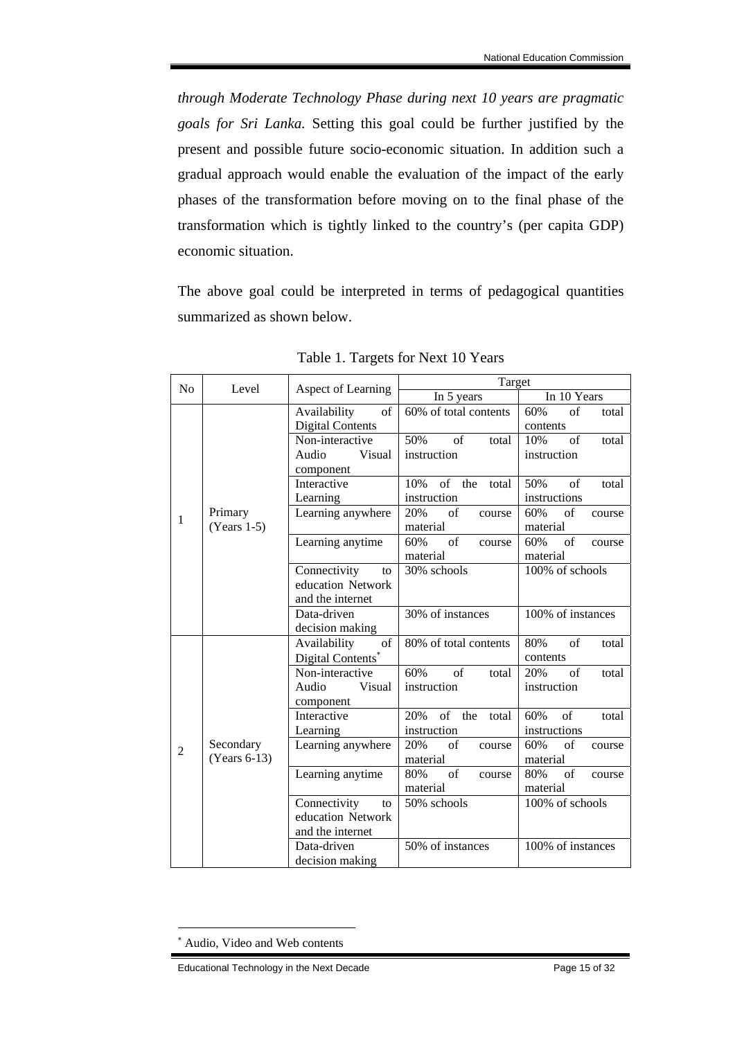*through Moderate Technology Phase during next 10 years are pragmatic goals for Sri Lanka.* Setting this goal could be further justified by the present and possible future socio-economic situation. In addition such a gradual approach would enable the evaluation of the impact of the early phases of the transformation before moving on to the final phase of the transformation which is tightly linked to the country's (per capita GDP) economic situation.

The above goal could be interpreted in terms of pedagogical quantities summarized as shown below.

| N <sub>o</sub> | Level                    | Aspect of Learning      | Target                    |                                 |
|----------------|--------------------------|-------------------------|---------------------------|---------------------------------|
|                |                          |                         | In 5 years                | In 10 Years                     |
| 1              | Primary<br>$(Years 1-5)$ | Availability<br>of      | 60% of total contents     | of<br>60%<br>total              |
|                |                          | <b>Digital Contents</b> |                           | contents                        |
|                |                          | Non-interactive         | 50%<br>of<br>total        | of<br>10%<br>total              |
|                |                          | Audio<br>Visual         | instruction               | instruction                     |
|                |                          | component               |                           |                                 |
|                |                          | Interactive             | of<br>10%<br>the<br>total | 50%<br>of<br>total              |
|                |                          | Learning                | instruction               | instructions                    |
|                |                          | Learning anywhere       | $\sigma$<br>20%<br>course | of<br>60%<br>course             |
|                |                          |                         | material                  | material                        |
|                |                          | Learning anytime        | of<br>60%<br>course       | 60%<br>$\sigma$ f<br>course     |
|                |                          |                         | material                  | material                        |
|                |                          | Connectivity<br>to      | 30% schools               | 100% of schools                 |
|                |                          | education Network       |                           |                                 |
|                |                          | and the internet        |                           |                                 |
|                |                          | Data-driven             | 30% of instances          | $\overline{100\%}$ of instances |
|                |                          | decision making         |                           |                                 |
| 2              |                          | of<br>Availability      | 80% of total contents     | of<br>80%<br>total              |
|                |                          | Digital Contents*       |                           | contents                        |
|                |                          | Non-interactive         | 60%<br>of<br>total        | $\alpha$ f<br>20%<br>total      |
|                |                          | Audio<br>Visual         | instruction               | instruction                     |
|                |                          | component               |                           |                                 |
|                |                          | Interactive             | of the<br>20%<br>total    | of<br>60%<br>total              |
|                |                          | Learning                | instruction               | instructions                    |
|                | Secondary                | Learning anywhere       | of<br>20%<br>course       | 60%<br>of<br>course             |
|                | (Years 6-13)             |                         | material                  | material                        |
|                |                          | Learning anytime        | of<br>80%<br>course       | $\sigma$ f<br>80%<br>course     |
|                |                          |                         | material                  | material                        |
|                |                          | Connectivity<br>to      | 50% schools               | 100% of schools                 |
|                |                          | education Network       |                           |                                 |
|                |                          | and the internet        |                           |                                 |
|                |                          | Data-driven             | 50% of instances          | 100% of instances               |
|                |                          | decision making         |                           |                                 |

Table 1. Targets for Next 10 Years

1

<sup>∗</sup> Audio, Video and Web contents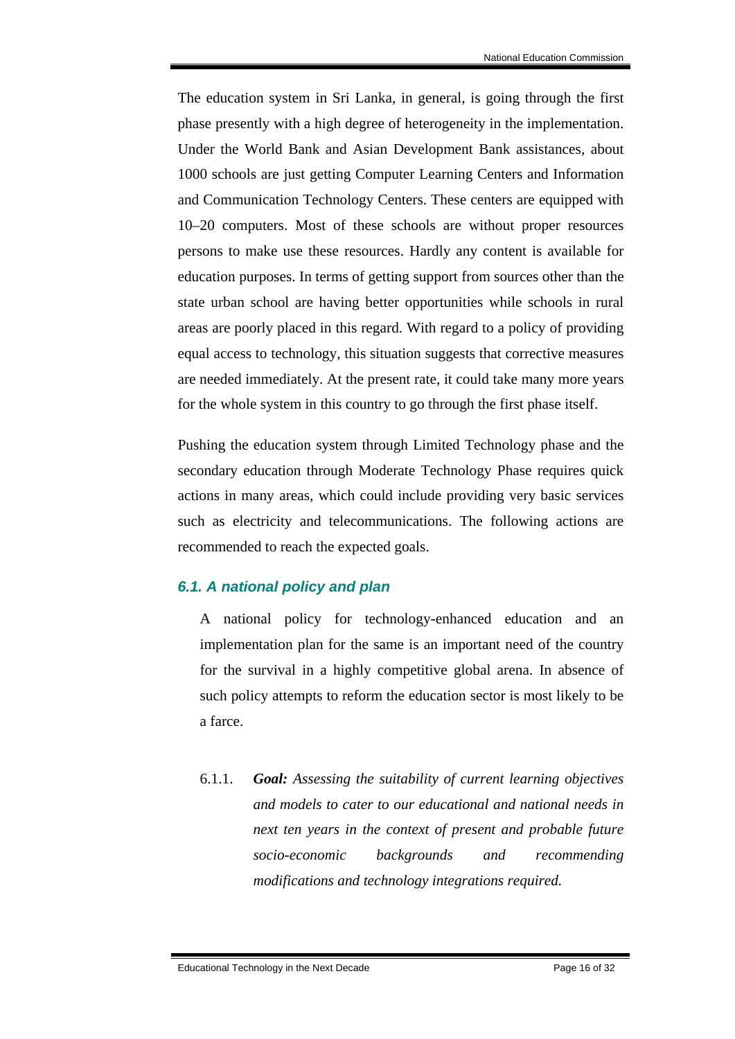The education system in Sri Lanka, in general, is going through the first phase presently with a high degree of heterogeneity in the implementation. Under the World Bank and Asian Development Bank assistances, about 1000 schools are just getting Computer Learning Centers and Information and Communication Technology Centers. These centers are equipped with 10–20 computers. Most of these schools are without proper resources persons to make use these resources. Hardly any content is available for education purposes. In terms of getting support from sources other than the state urban school are having better opportunities while schools in rural areas are poorly placed in this regard. With regard to a policy of providing equal access to technology, this situation suggests that corrective measures are needed immediately. At the present rate, it could take many more years for the whole system in this country to go through the first phase itself.

Pushing the education system through Limited Technology phase and the secondary education through Moderate Technology Phase requires quick actions in many areas, which could include providing very basic services such as electricity and telecommunications. The following actions are recommended to reach the expected goals.

### *6.1. A national policy and plan*

A national policy for technology-enhanced education and an implementation plan for the same is an important need of the country for the survival in a highly competitive global arena. In absence of such policy attempts to reform the education sector is most likely to be a farce.

6.1.1. *Goal: Assessing the suitability of current learning objectives and models to cater to our educational and national needs in next ten years in the context of present and probable future socio-economic backgrounds and recommending modifications and technology integrations required.*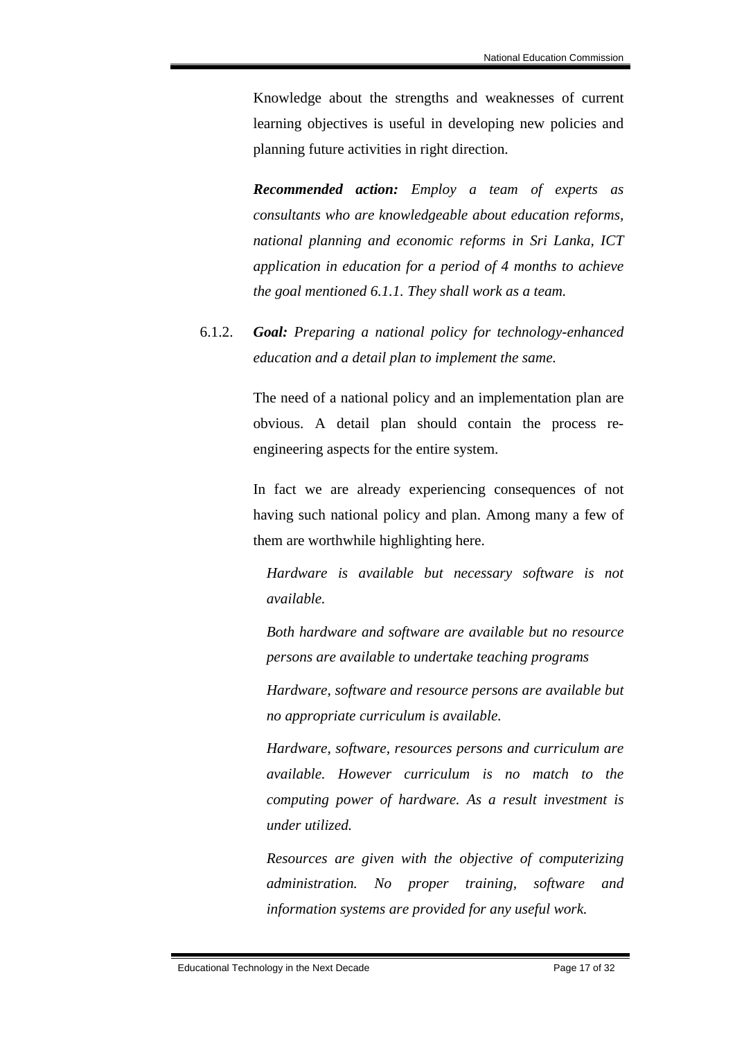Knowledge about the strengths and weaknesses of current learning objectives is useful in developing new policies and planning future activities in right direction.

*Recommended action: Employ a team of experts as consultants who are knowledgeable about education reforms, national planning and economic reforms in Sri Lanka, ICT application in education for a period of 4 months to achieve the goal mentioned 6.1.1. They shall work as a team.* 

6.1.2. *Goal: Preparing a national policy for technology-enhanced education and a detail plan to implement the same.*

> The need of a national policy and an implementation plan are obvious. A detail plan should contain the process reengineering aspects for the entire system.

> In fact we are already experiencing consequences of not having such national policy and plan. Among many a few of them are worthwhile highlighting here.

*Hardware is available but necessary software is not available.* 

*Both hardware and software are available but no resource persons are available to undertake teaching programs* 

*Hardware, software and resource persons are available but no appropriate curriculum is available.* 

*Hardware, software, resources persons and curriculum are available. However curriculum is no match to the computing power of hardware. As a result investment is under utilized.* 

*Resources are given with the objective of computerizing administration. No proper training, software and information systems are provided for any useful work.*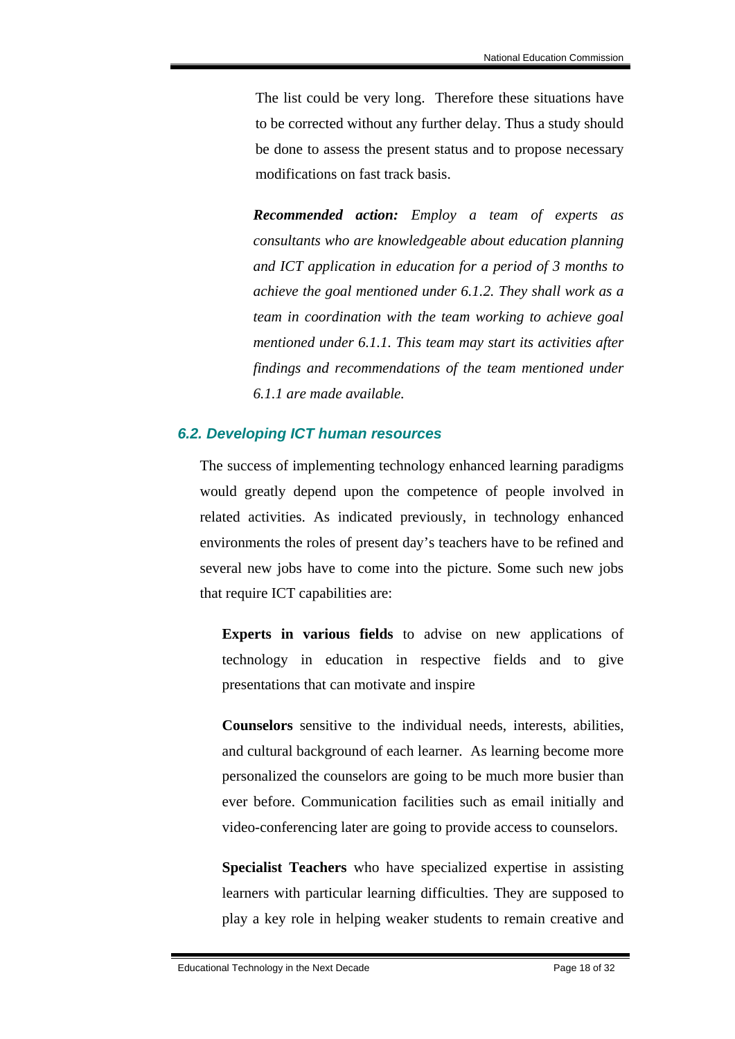The list could be very long. Therefore these situations have to be corrected without any further delay. Thus a study should be done to assess the present status and to propose necessary modifications on fast track basis.

*Recommended action: Employ a team of experts as consultants who are knowledgeable about education planning and ICT application in education for a period of 3 months to achieve the goal mentioned under 6.1.2. They shall work as a team in coordination with the team working to achieve goal mentioned under 6.1.1. This team may start its activities after findings and recommendations of the team mentioned under 6.1.1 are made available.* 

### *6.2. Developing ICT human resources*

The success of implementing technology enhanced learning paradigms would greatly depend upon the competence of people involved in related activities. As indicated previously, in technology enhanced environments the roles of present day's teachers have to be refined and several new jobs have to come into the picture. Some such new jobs that require ICT capabilities are:

**Experts in various fields** to advise on new applications of technology in education in respective fields and to give presentations that can motivate and inspire

**Counselors** sensitive to the individual needs, interests, abilities, and cultural background of each learner. As learning become more personalized the counselors are going to be much more busier than ever before. Communication facilities such as email initially and video-conferencing later are going to provide access to counselors.

**Specialist Teachers** who have specialized expertise in assisting learners with particular learning difficulties. They are supposed to play a key role in helping weaker students to remain creative and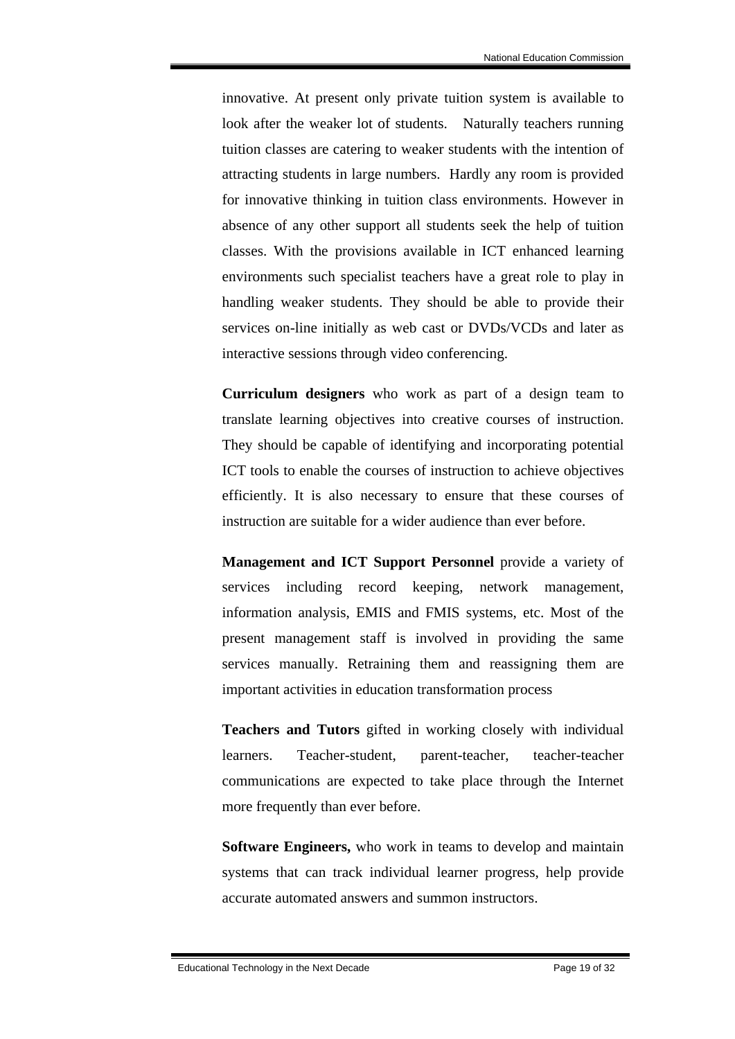innovative. At present only private tuition system is available to look after the weaker lot of students. Naturally teachers running tuition classes are catering to weaker students with the intention of attracting students in large numbers. Hardly any room is provided for innovative thinking in tuition class environments. However in absence of any other support all students seek the help of tuition classes. With the provisions available in ICT enhanced learning environments such specialist teachers have a great role to play in handling weaker students. They should be able to provide their services on-line initially as web cast or DVDs/VCDs and later as interactive sessions through video conferencing.

**Curriculum designers** who work as part of a design team to translate learning objectives into creative courses of instruction. They should be capable of identifying and incorporating potential ICT tools to enable the courses of instruction to achieve objectives efficiently. It is also necessary to ensure that these courses of instruction are suitable for a wider audience than ever before.

**Management and ICT Support Personnel** provide a variety of services including record keeping, network management, information analysis, EMIS and FMIS systems, etc. Most of the present management staff is involved in providing the same services manually. Retraining them and reassigning them are important activities in education transformation process

**Teachers and Tutors** gifted in working closely with individual learners. Teacher-student, parent-teacher, teacher-teacher communications are expected to take place through the Internet more frequently than ever before.

**Software Engineers,** who work in teams to develop and maintain systems that can track individual learner progress, help provide accurate automated answers and summon instructors.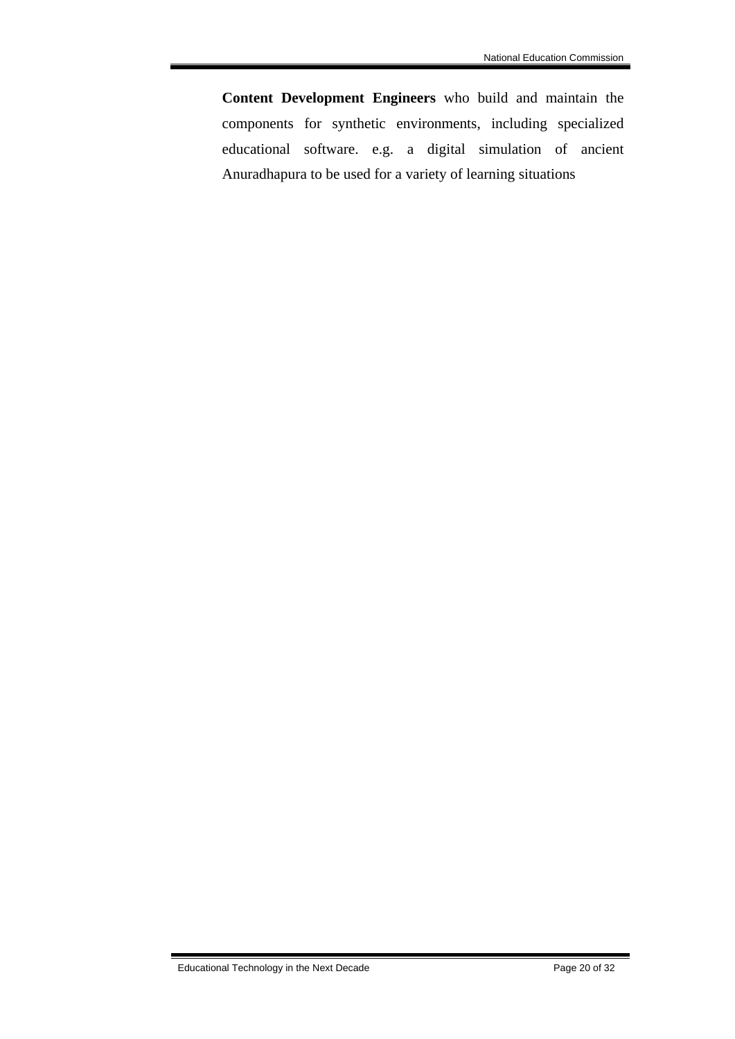**Content Development Engineers** who build and maintain the components for synthetic environments, including specialized educational software. e.g. a digital simulation of ancient Anuradhapura to be used for a variety of learning situations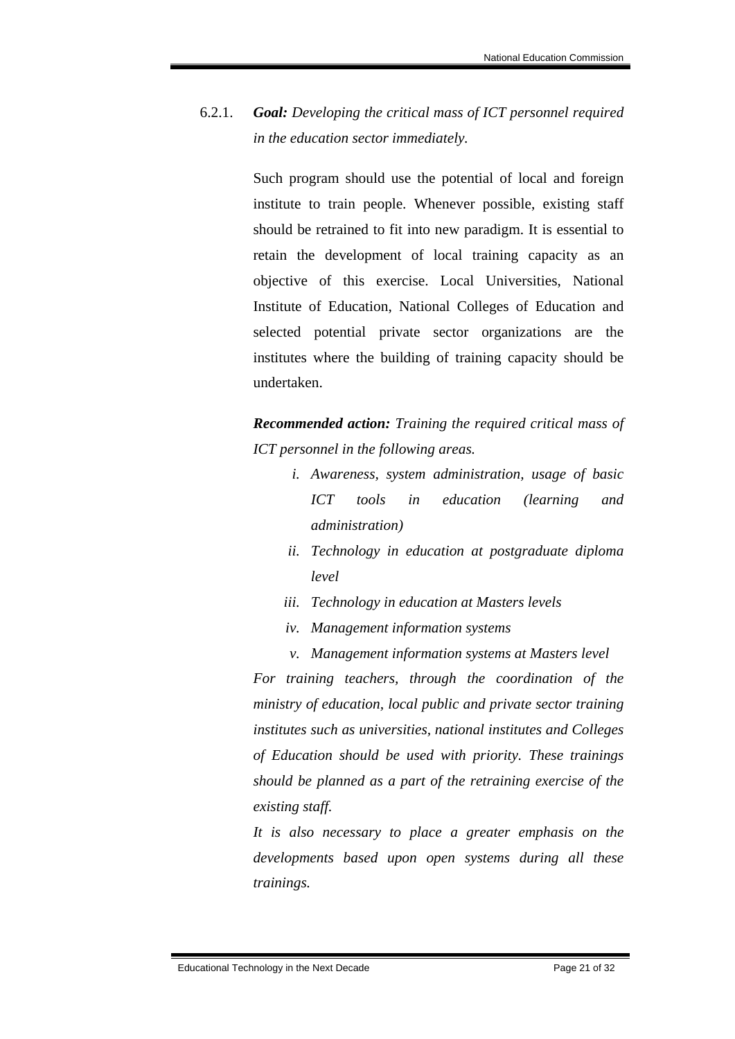# 6.2.1. *Goal: Developing the critical mass of ICT personnel required in the education sector immediately.*

Such program should use the potential of local and foreign institute to train people. Whenever possible, existing staff should be retrained to fit into new paradigm. It is essential to retain the development of local training capacity as an objective of this exercise. Local Universities, National Institute of Education, National Colleges of Education and selected potential private sector organizations are the institutes where the building of training capacity should be undertaken.

*Recommended action: Training the required critical mass of ICT personnel in the following areas.* 

- *i. Awareness, system administration, usage of basic ICT tools in education (learning and administration)*
- *ii. Technology in education at postgraduate diploma level*
- *iii. Technology in education at Masters levels*
- *iv. Management information systems*
- *v. Management information systems at Masters level*

*For training teachers, through the coordination of the ministry of education, local public and private sector training institutes such as universities, national institutes and Colleges of Education should be used with priority. These trainings should be planned as a part of the retraining exercise of the existing staff.* 

*It is also necessary to place a greater emphasis on the developments based upon open systems during all these trainings.*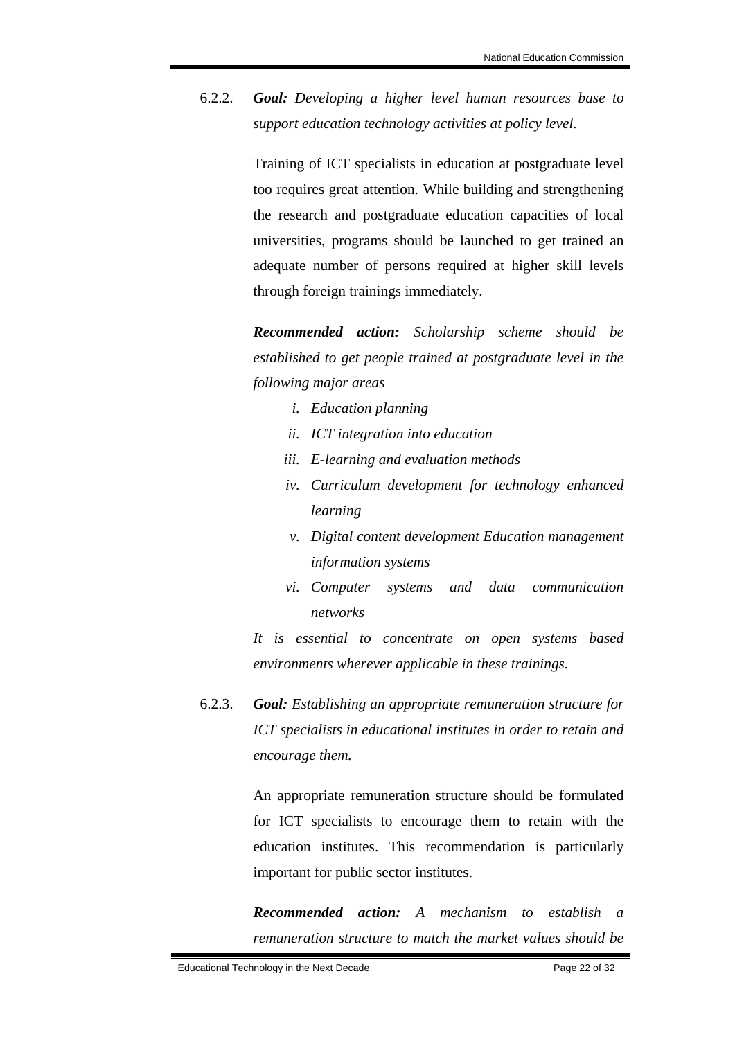6.2.2. *Goal: Developing a higher level human resources base to support education technology activities at policy level.* 

> Training of ICT specialists in education at postgraduate level too requires great attention. While building and strengthening the research and postgraduate education capacities of local universities, programs should be launched to get trained an adequate number of persons required at higher skill levels through foreign trainings immediately.

> *Recommended action: Scholarship scheme should be established to get people trained at postgraduate level in the following major areas*

- *i. Education planning*
- *ii. ICT integration into education*
- *iii. E-learning and evaluation methods*
- *iv. Curriculum development for technology enhanced learning*
- *v. Digital content development Education management information systems*
- *vi. Computer systems and data communication networks*

*It is essential to concentrate on open systems based environments wherever applicable in these trainings.* 

6.2.3. *Goal: Establishing an appropriate remuneration structure for ICT specialists in educational institutes in order to retain and encourage them.*

> An appropriate remuneration structure should be formulated for ICT specialists to encourage them to retain with the education institutes. This recommendation is particularly important for public sector institutes.

> *Recommended action: A mechanism to establish a remuneration structure to match the market values should be*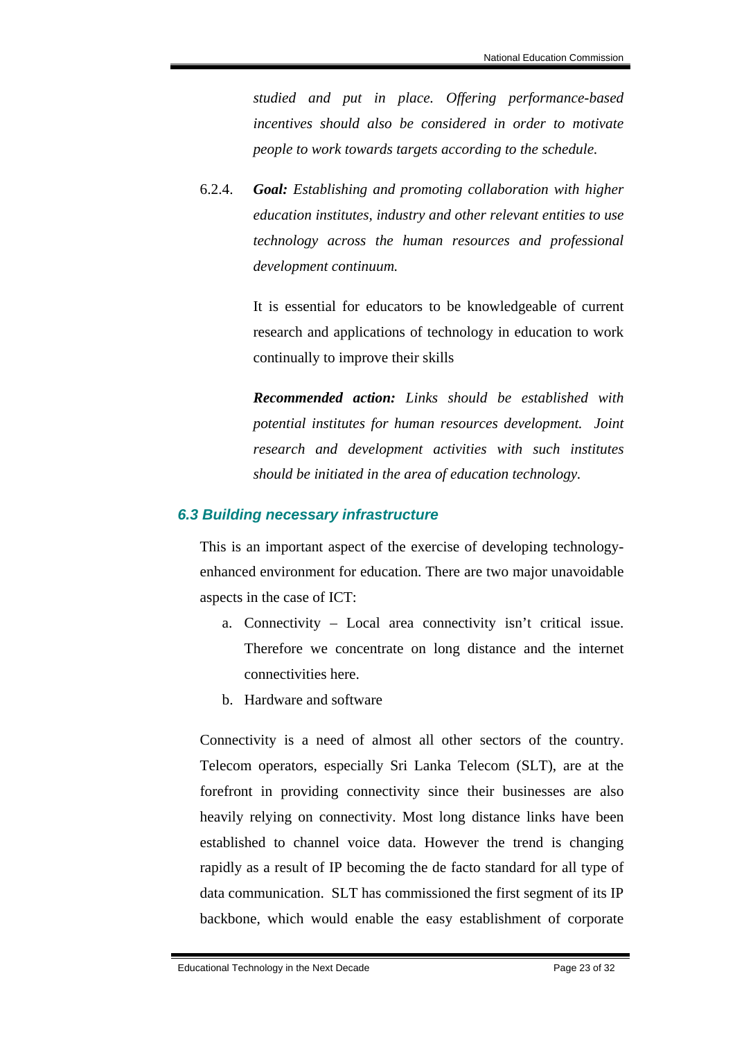*studied and put in place. Offering performance-based incentives should also be considered in order to motivate people to work towards targets according to the schedule.* 

6.2.4. *Goal: Establishing and promoting collaboration with higher education institutes, industry and other relevant entities to use technology across the human resources and professional development continuum.*

> It is essential for educators to be knowledgeable of current research and applications of technology in education to work continually to improve their skills

> *Recommended action: Links should be established with potential institutes for human resources development. Joint research and development activities with such institutes should be initiated in the area of education technology.*

### *6.3 Building necessary infrastructure*

This is an important aspect of the exercise of developing technologyenhanced environment for education. There are two major unavoidable aspects in the case of ICT:

- a. Connectivity Local area connectivity isn't critical issue. Therefore we concentrate on long distance and the internet connectivities here.
- b. Hardware and software

Connectivity is a need of almost all other sectors of the country. Telecom operators, especially Sri Lanka Telecom (SLT), are at the forefront in providing connectivity since their businesses are also heavily relying on connectivity. Most long distance links have been established to channel voice data. However the trend is changing rapidly as a result of IP becoming the de facto standard for all type of data communication. SLT has commissioned the first segment of its IP backbone, which would enable the easy establishment of corporate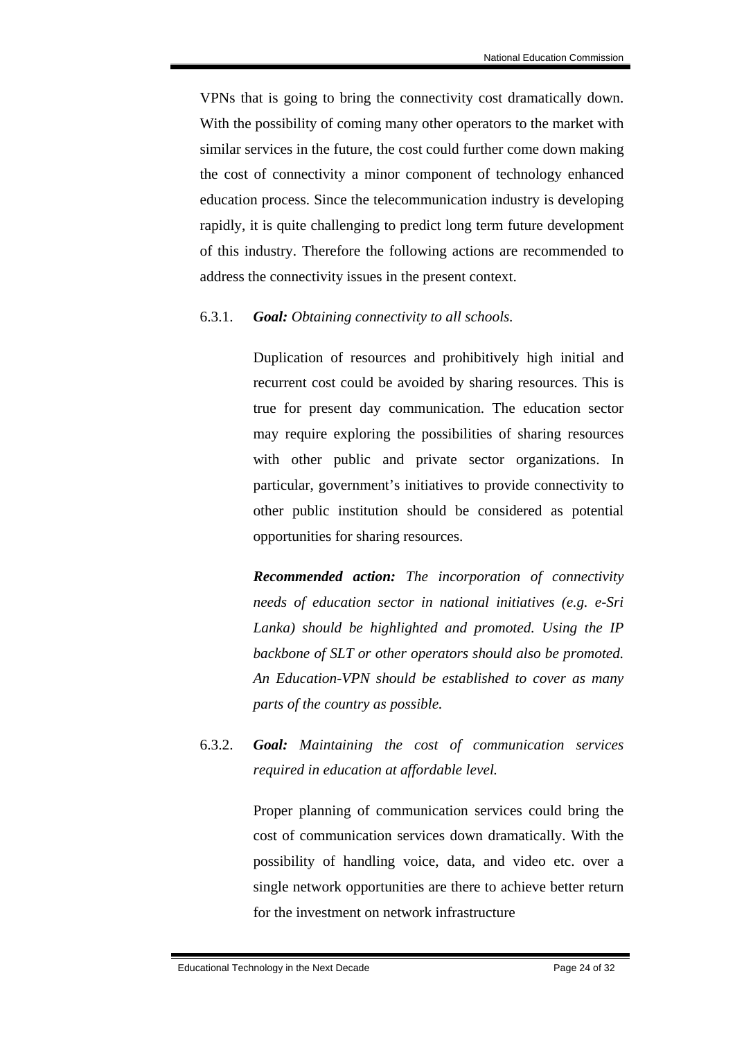VPNs that is going to bring the connectivity cost dramatically down. With the possibility of coming many other operators to the market with similar services in the future, the cost could further come down making the cost of connectivity a minor component of technology enhanced education process. Since the telecommunication industry is developing rapidly, it is quite challenging to predict long term future development of this industry. Therefore the following actions are recommended to address the connectivity issues in the present context.

### 6.3.1. *Goal: Obtaining connectivity to all schools.*

Duplication of resources and prohibitively high initial and recurrent cost could be avoided by sharing resources. This is true for present day communication. The education sector may require exploring the possibilities of sharing resources with other public and private sector organizations. In particular, government's initiatives to provide connectivity to other public institution should be considered as potential opportunities for sharing resources.

*Recommended action: The incorporation of connectivity needs of education sector in national initiatives (e.g. e-Sri Lanka) should be highlighted and promoted. Using the IP backbone of SLT or other operators should also be promoted. An Education-VPN should be established to cover as many parts of the country as possible.* 

6.3.2. *Goal: Maintaining the cost of communication services required in education at affordable level.*

> Proper planning of communication services could bring the cost of communication services down dramatically. With the possibility of handling voice, data, and video etc. over a single network opportunities are there to achieve better return for the investment on network infrastructure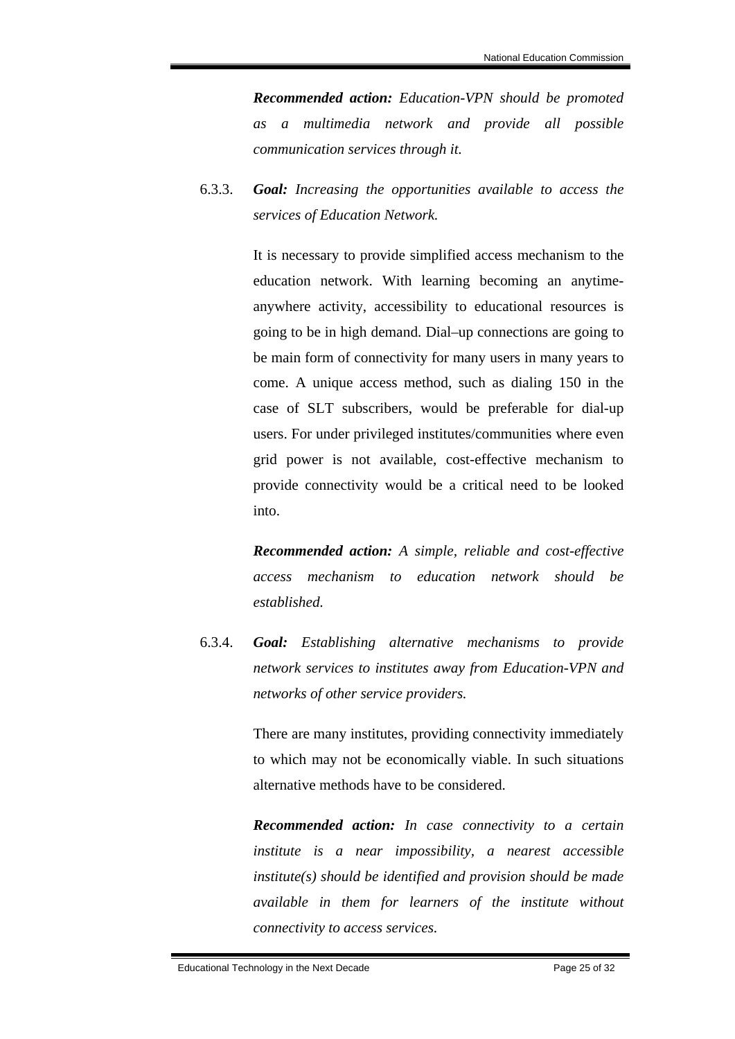*Recommended action: Education-VPN should be promoted as a multimedia network and provide all possible communication services through it.*

6.3.3. *Goal: Increasing the opportunities available to access the services of Education Network.* 

> It is necessary to provide simplified access mechanism to the education network. With learning becoming an anytimeanywhere activity, accessibility to educational resources is going to be in high demand. Dial–up connections are going to be main form of connectivity for many users in many years to come. A unique access method, such as dialing 150 in the case of SLT subscribers, would be preferable for dial-up users. For under privileged institutes/communities where even grid power is not available, cost-effective mechanism to provide connectivity would be a critical need to be looked into.

> *Recommended action: A simple, reliable and cost-effective access mechanism to education network should be established.*

6.3.4. *Goal: Establishing alternative mechanisms to provide network services to institutes away from Education-VPN and networks of other service providers.* 

> There are many institutes, providing connectivity immediately to which may not be economically viable. In such situations alternative methods have to be considered.

> *Recommended action: In case connectivity to a certain institute is a near impossibility, a nearest accessible institute(s) should be identified and provision should be made available in them for learners of the institute without connectivity to access services.*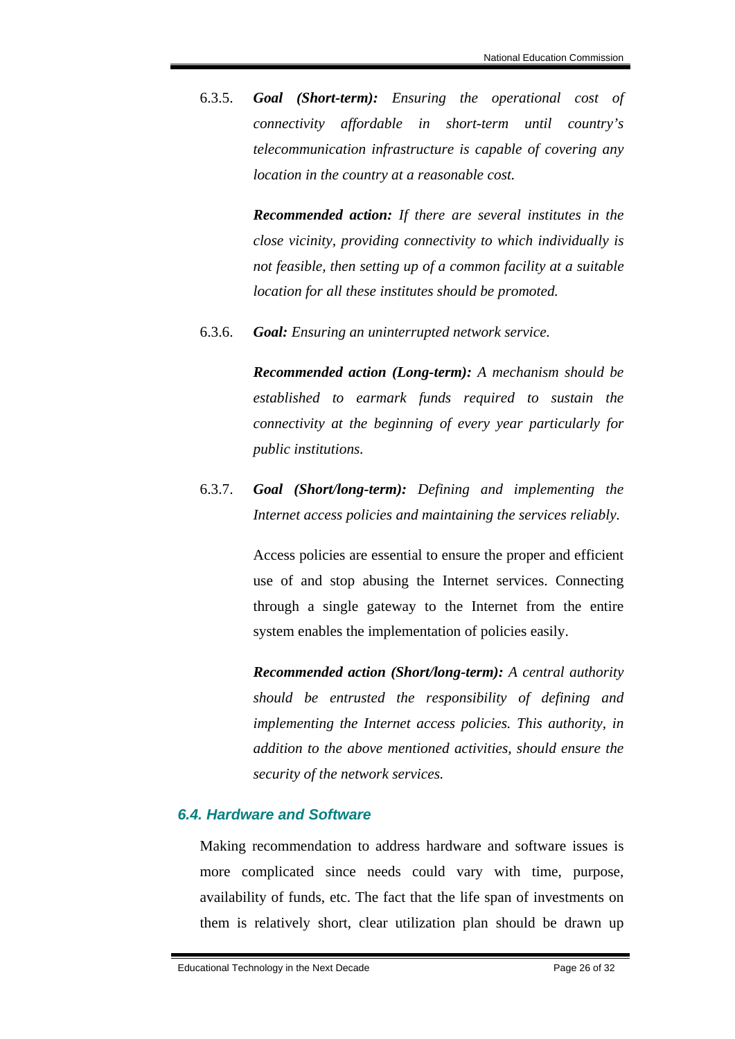6.3.5. *Goal (Short-term): Ensuring the operational cost of connectivity affordable in short-term until country's telecommunication infrastructure is capable of covering any location in the country at a reasonable cost.* 

> *Recommended action: If there are several institutes in the close vicinity, providing connectivity to which individually is not feasible, then setting up of a common facility at a suitable location for all these institutes should be promoted.*

6.3.6. *Goal: Ensuring an uninterrupted network service.* 

*Recommended action (Long-term): A mechanism should be established to earmark funds required to sustain the connectivity at the beginning of every year particularly for public institutions.*

6.3.7. *Goal (Short/long-term): Defining and implementing the Internet access policies and maintaining the services reliably.* 

> Access policies are essential to ensure the proper and efficient use of and stop abusing the Internet services. Connecting through a single gateway to the Internet from the entire system enables the implementation of policies easily.

> *Recommended action (Short/long-term): A central authority should be entrusted the responsibility of defining and implementing the Internet access policies. This authority, in addition to the above mentioned activities, should ensure the security of the network services.*

### *6.4. Hardware and Software*

Making recommendation to address hardware and software issues is more complicated since needs could vary with time, purpose, availability of funds, etc. The fact that the life span of investments on them is relatively short, clear utilization plan should be drawn up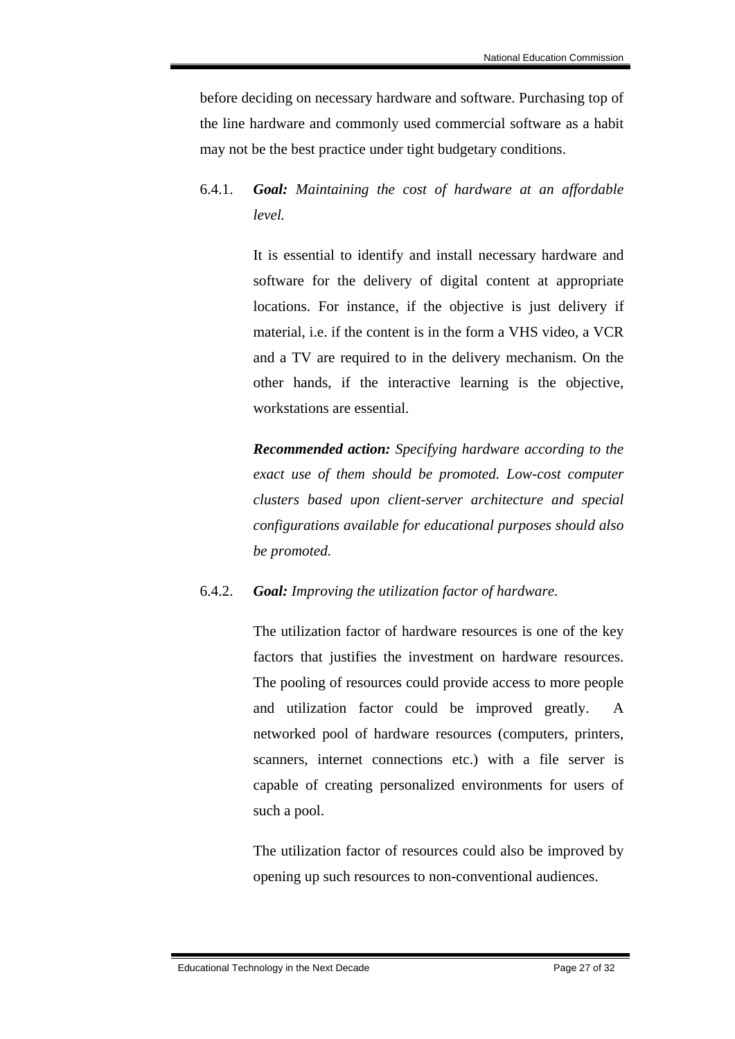before deciding on necessary hardware and software. Purchasing top of the line hardware and commonly used commercial software as a habit may not be the best practice under tight budgetary conditions.

# 6.4.1. *Goal: Maintaining the cost of hardware at an affordable level.*

It is essential to identify and install necessary hardware and software for the delivery of digital content at appropriate locations. For instance, if the objective is just delivery if material, i.e. if the content is in the form a VHS video, a VCR and a TV are required to in the delivery mechanism. On the other hands, if the interactive learning is the objective, workstations are essential.

*Recommended action: Specifying hardware according to the exact use of them should be promoted. Low-cost computer clusters based upon client-server architecture and special configurations available for educational purposes should also be promoted.* 

### 6.4.2. *Goal: Improving the utilization factor of hardware.*

The utilization factor of hardware resources is one of the key factors that justifies the investment on hardware resources. The pooling of resources could provide access to more people and utilization factor could be improved greatly. A networked pool of hardware resources (computers, printers, scanners, internet connections etc.) with a file server is capable of creating personalized environments for users of such a pool.

The utilization factor of resources could also be improved by opening up such resources to non-conventional audiences.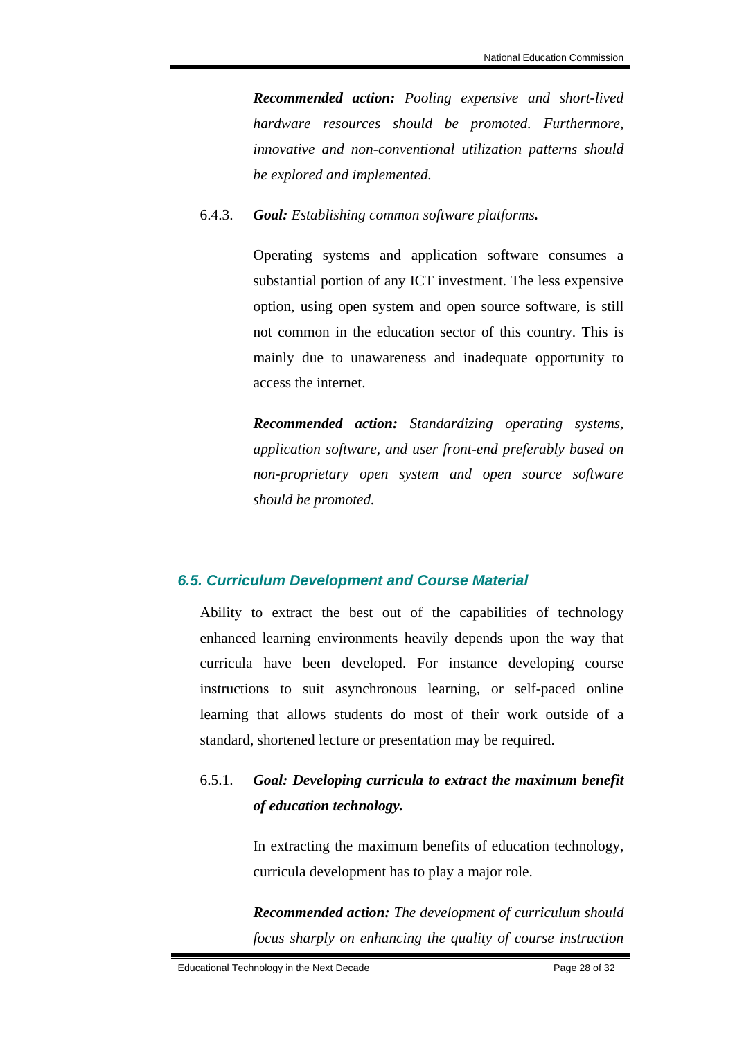*Recommended action: Pooling expensive and short-lived hardware resources should be promoted. Furthermore, innovative and non-conventional utilization patterns should be explored and implemented.*

#### 6.4.3. *Goal: Establishing common software platforms.*

Operating systems and application software consumes a substantial portion of any ICT investment. The less expensive option, using open system and open source software, is still not common in the education sector of this country. This is mainly due to unawareness and inadequate opportunity to access the internet.

*Recommended action: Standardizing operating systems, application software, and user front-end preferably based on non-proprietary open system and open source software should be promoted.* 

#### *6.5. Curriculum Development and Course Material*

Ability to extract the best out of the capabilities of technology enhanced learning environments heavily depends upon the way that curricula have been developed. For instance developing course instructions to suit asynchronous learning, or self-paced online learning that allows students do most of their work outside of a standard, shortened lecture or presentation may be required.

# 6.5.1. *Goal: Developing curricula to extract the maximum benefit of education technology.*

In extracting the maximum benefits of education technology, curricula development has to play a major role.

*Recommended action: The development of curriculum should focus sharply on enhancing the quality of course instruction*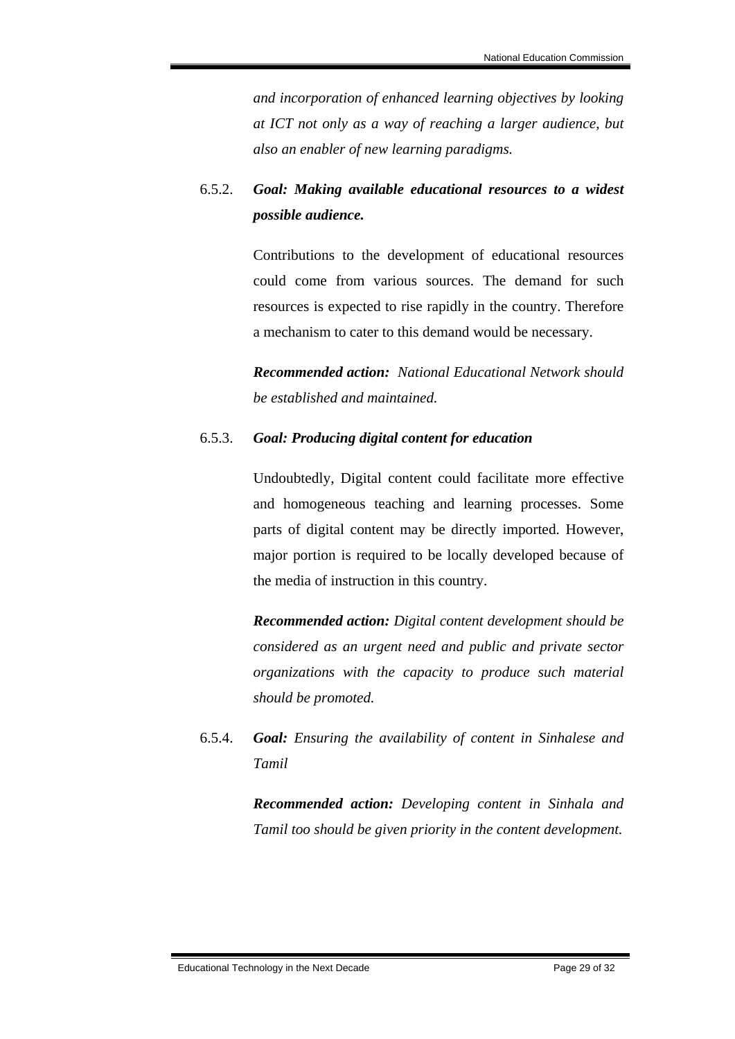*and incorporation of enhanced learning objectives by looking at ICT not only as a way of reaching a larger audience, but also an enabler of new learning paradigms.*

# 6.5.2. *Goal: Making available educational resources to a widest possible audience.*

Contributions to the development of educational resources could come from various sources. The demand for such resources is expected to rise rapidly in the country. Therefore a mechanism to cater to this demand would be necessary.

*Recommended action: National Educational Network should be established and maintained.*

### 6.5.3. *Goal: Producing digital content for education*

Undoubtedly, Digital content could facilitate more effective and homogeneous teaching and learning processes. Some parts of digital content may be directly imported. However, major portion is required to be locally developed because of the media of instruction in this country.

*Recommended action: Digital content development should be considered as an urgent need and public and private sector organizations with the capacity to produce such material should be promoted.* 

6.5.4. *Goal: Ensuring the availability of content in Sinhalese and Tamil* 

> *Recommended action: Developing content in Sinhala and Tamil too should be given priority in the content development.*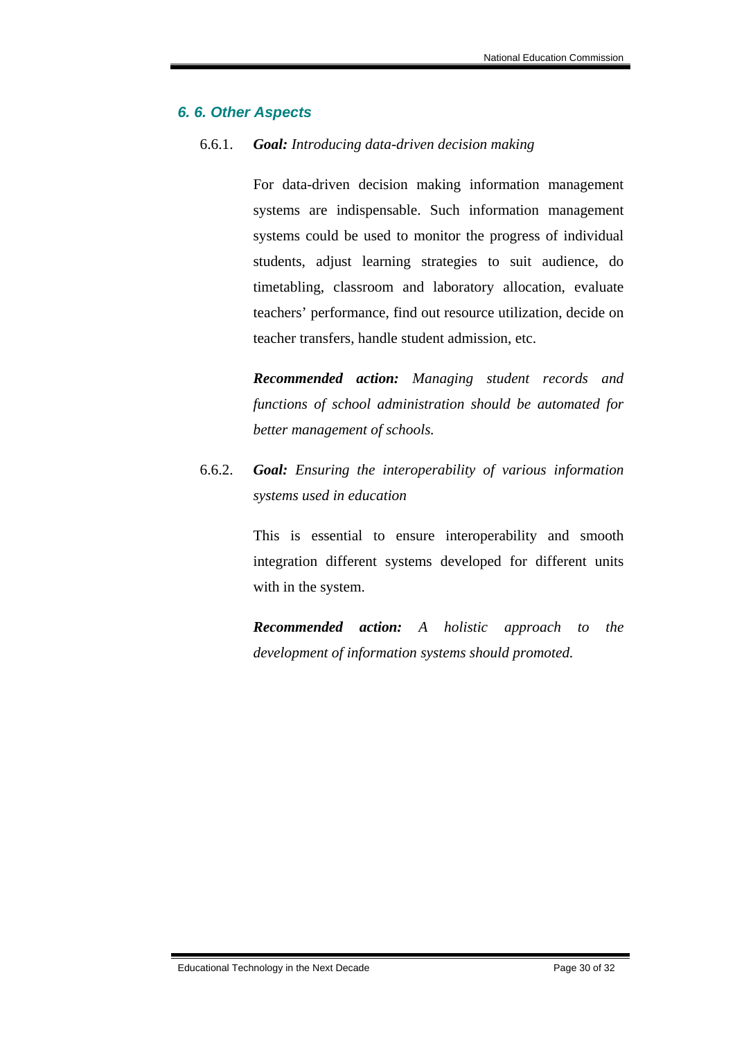### *6. 6. Other Aspects*

#### 6.6.1. *Goal: Introducing data-driven decision making*

For data-driven decision making information management systems are indispensable. Such information management systems could be used to monitor the progress of individual students, adjust learning strategies to suit audience, do timetabling, classroom and laboratory allocation, evaluate teachers' performance, find out resource utilization, decide on teacher transfers, handle student admission, etc.

*Recommended action: Managing student records and functions of school administration should be automated for better management of schools.*

6.6.2. *Goal: Ensuring the interoperability of various information systems used in education* 

> This is essential to ensure interoperability and smooth integration different systems developed for different units with in the system.

> *Recommended action: A holistic approach to the development of information systems should promoted.*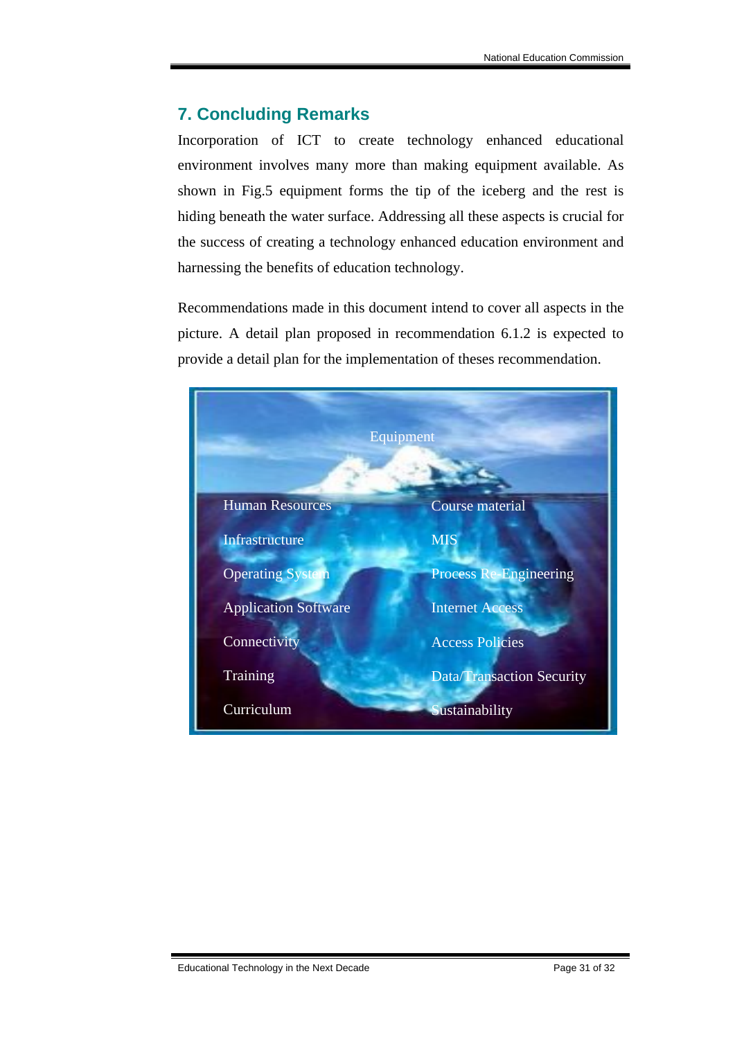# **7. Concluding Remarks**

Incorporation of ICT to create technology enhanced educational environment involves many more than making equipment available. As shown in Fig.5 equipment forms the tip of the iceberg and the rest is hiding beneath the water surface. Addressing all these aspects is crucial for the success of creating a technology enhanced education environment and harnessing the benefits of education technology.

Recommendations made in this document intend to cover all aspects in the picture. A detail plan proposed in recommendation 6.1.2 is expected to provide a detail plan for the implementation of theses recommendation.